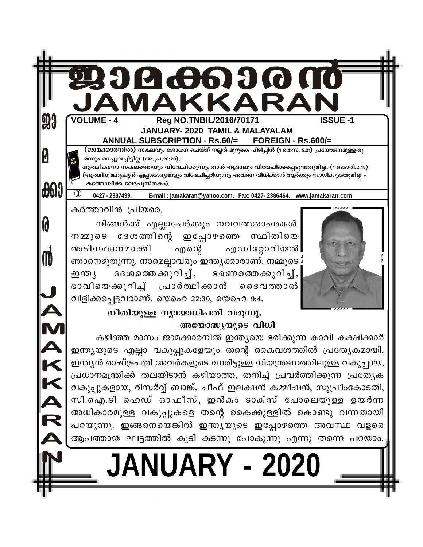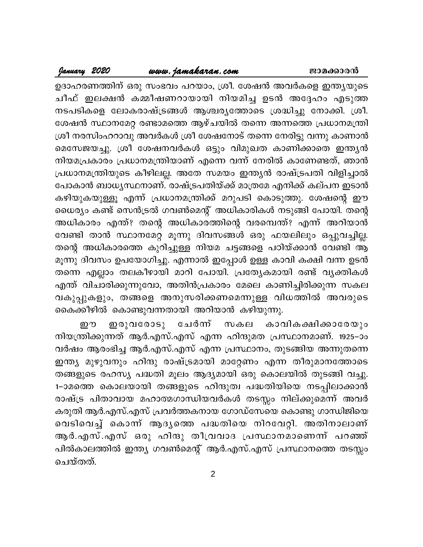#### www.jamakaran.com

January 2020

ഉദാഹരണത്തിന് ഒരു സംഭവം പറയാം, ശ്രീ. ശേഷൻ അവർകളെ ഇന്ത്യയുടെ ചീഫ് ഇലക്ഷൻ കമ്മീഷണറായായി നിയമിച്ച ഉടൻ അദ്ദേഹം എടുത്ത നടപടികളെ ലോകരാഷ്ട്രങ്ങൾ ആശ്ചരൃത്തോടെ ശ്രദ്ധിച്ചു നോക്കി. ശ്രീ. ശേഷൻ സ്ഥാനമേറ്റ രണ്ടാമത്തെ ആഴ്ചയിൽ തന്നെ അന്നത്തെ പ്രധാനമന്ത്രി ശ്രീ നരസിംഹറാവു അവർകൾ ശ്രീ ശേഷനോട് തന്നെ നേരിട്ടു വന്നു കാണാൻ മെസേജയച്ചു. ശ്രീ ശേഷനവർകൾ ഒട്ടും വിമുഖത കാണിക്കാതെ ഇന്ത്യൻ നിയമപ്രകാരം പ്രധാനമന്ത്രിയാണ് എന്നെ വന്ന് നേരിൽ കാണേണ്ടത്, ഞാൻ പ്രധാനമന്ത്രിയുടെ കീഴിലല്ല. അതേ സമയം ഇന്ത്യൻ രാഷ്ട്രപതി വിളിച്ചാൽ പോകാൻ ബാധൃസ്ഥനാണ്. രാഷ്ട്രപതിയ്ക്ക് മാത്രമേ എനിക്ക് കല്പന ഇടാൻ കഴിയുകയുള്ളൂ എന്ന് പ്രധാനമന്ത്രിക്ക് മറുപടി കൊടുത്തു. ശേഷന്റെ ഈ ധൈര്യം കണ്ട് സെൻട്രൽ ഗവൺമെന്റ് അധികാരികൾ നടുങ്ങി പോയി. തന്റെ അധികാരം എന്ത്? തന്റെ അധികാരത്തിന്റെ വരമ്പെന്ത്? എന്ന് അറിയാൻ വേണ്ടി താൻ സ്ഥാനമേറ്റ മൂന്നു ദിവസങ്ങൾ ഒരു ഫയലിലും ഒപ്പുവച്ചില്ല. തന്റെ അധികാരത്തെ കുറിച്ചുള്ള നിയമ ചട്ടങ്ങളെ പഠിയ്ക്കാൻ വേണ്ടി ആ മൂന്നു ദിവസം ഉപയോഗിച്ചു. എന്നാൽ ഇപ്പോൾ ഉള്ള കാവി കക്ഷി വന്ന ഉടൻ തന്നെ എല്ലാം തലകീഴായി മാറി പോയി. പ്രത്യേകമായി രണ്ട് വൃക്തികൾ എന്ത് വിചാരിക്കുന്നുവോ, അതിൻപ്രകാരം മേലെ കാണിച്ചിരിക്കുന്ന സകല വകുപ്പുകളും, തങ്ങളെ അനുസരിക്കണമെന്നുള്ള വിധത്തിൽ അവരുടെ കൈക്കീഴിൽ കൊണ്ടുവന്നതായി അറിയാൻ കഴിയുന്നു.

ഇരുവരോടു ചേർന്ന് കാവികക്ഷിക്കാരേയും സകല றை നിയന്ത്രിക്കുന്നത് ആർ.എസ്.എസ് എന്ന ഹിന്ദുമത പ്രസ്ഥാനമാണ്. 1925–ാം വർഷം ആരംഭിച്ച ആർ.എസ്.എസ് എന്ന പ്രസ്ഥാനം, തുടങ്ങിയ അന്നുതന്നെ ഇന്ത്യ മുഴുവനും ഹിന്ദു രാഷ്ട്രമായി മാറ്റേണം എന്ന തീരുമാനത്തോടെ തങ്ങളുടെ രഹസ്യ പദ്ധതി മൂലം ആദ്യമായി ഒരു കൊലയിൽ തുടങ്ങി വച്ചു. 1-ാമത്തെ കൊലയായി തങ്ങളുടെ ഹിന്ദുത്വ പദ്ധതിയിയെ നടപ്പിലാക്കാൻ രാഷ്ട്ര പിതാവായ മഹാത്മഗാന്ധിയവർകൾ തടസ്സം നില്ക്കുമെന്ന് അവർ കരുതി ആർ.എസ്.എസ് പ്രവർത്തകനായ ഗോഡ്സേയെ കൊണ്ടു ഗാന്ധിജിയെ വെടിവെച്ച് കൊന്ന് ആദൃത്തെ പദ്ധതിയെ നിറവേറ്റി. അതിനാലാണ് ആർ.എസ്.എസ് ഒരു ഹിന്ദു തീവ്രവാദ പ്രസ്ഥാനമാണെന്ന് പറഞ്ഞ് പിൽകാലത്തിൽ ഇന്ത്യ ഗവൺമെന്റ് ആർ.എസ്.എസ് പ്രസ്ഥാനത്തെ തടസ്സം ചെയ്തത്.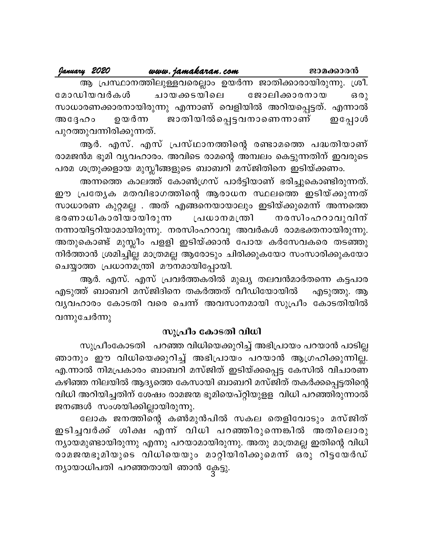| January 2020 | www.jamakaran.com                                            | ജാമക്കാരൻ                       |
|--------------|--------------------------------------------------------------|---------------------------------|
|              | ആ പ്രസ്ഥാനത്തിലുള്ളവരെല്ലാം ഉയർന്ന ജാതിക്കാരായിരുന്നു. ശ്രീ. |                                 |
| മോഡിയവർകൾ    | ചായക്കടയിലെ                                                  | ജോലിക്കാരനായ<br>60 <sub>2</sub> |

സാധാരണക്കാരനായിരുന്നു എന്നാണ് വെളിയിൽ അറിയപ്പെട്ടത്. എന്നാൽ ജാതിയിൽപ്പെട്ടവനാണെന്നാണ് ഉയർന്ന അദ്ദേഹം ഇപ്പോൾ പുറത്തുവന്നിരിക്കുന്നത്.

ആർ. എസ്. എസ് പ്രസ്ഥാനത്തിന്റെ രണ്ടാമത്തെ പദ്ധതിയാണ് രാമജൻമ ഭൂമി വ്യവഹാരം. അവിടെ രാമന്റെ അമ്പലം കെട്ടുന്നതിന് ഇവരുടെ പരമ ശത്രുക്കളായ മുസ്ലീങ്ങളുടെ ബാബറി മസ്ജിതിനെ ഇടിയ്ക്കണം.

അന്നത്തെ കാലത്ത് കോൺഗ്രസ് പാർട്ടിയാണ് ഭരിച്ചുകൊണ്ടിരുന്നത്. ഈ പ്രത്യേക മതവിഭാഗത്തിന്റെ ആരാധന സ്ഥലത്തെ ഇടിയ്ക്കുന്നത് സാധാരണ കുറ്റമല്ല . അത് എങ്ങനെയായാലും ഇടിയ്ക്കുമെന്ന് അന്നത്തെ ഭരണാധികാരിയായിരുന്ന പ്രധാനമന്ത്രി നരസിംഹറാവുവിന് നന്നായിട്ടറിയാമായിരുന്നു. നരസിംഹറാവു അവർകൾ രാമഭക്തനായിരുന്നു. അതുകൊണ്ട് മുസ്ലീം പളളി ഇടിയ്ക്കാൻ പോയ കർസേവകരെ തടഞ്ഞു നിർത്താൻ ശ്രമിച്ചില്ല മാത്രമല്ല ആരോടും ചിരിക്കുകയോ സംസാരിക്കുകയോ ചെയ്യാത്ത പ്രധാനമന്ത്രി മൗനമായിപ്പോയി.

ആർ. എസ്. എസ് പ്രവർത്തകരിൽ മുഖ്യ തലവൻമാർതന്നെ കട്ടപാര എടുത്ത് ബാബറി മസ്ജിദിനെ തകർത്തത് വീഡിയോയിൽ എടുത്തു. ആ വൃവഹാരം കോടതി വരെ ചെന്ന് അവസാനമായി സുപ്രീം കോടതിയിൽ വന്നുചേർന്നു

#### സുപ്രീം കോടതി വിധി

സുപ്രീംകോടതി പറഞ്ഞ വിധിയെക്കുറിച്ച് അഭിപ്രായം പറയാൻ പാടില്ല ഞാനും ഈ വിധിയെക്കുറിച്ച് അഭിപ്രായം പറയാൻ ആഗ്രഹിക്കുന്നില്ല. എ.ന്നാൽ നിമപ്രകാരം ബാബറി മസ്ജിത് ഇടിയ്ക്കപ്പെട്ട കേസിൽ വിചാരണ കഴിഞ്ഞ നിലയിൽ ആദ്യത്തെ കേസായി ബാബറി മസ്ജിത് തകർക്കപ്പെട്ടതിന്റെ വിധി അറിയിച്ചതിന് ശേഷം രാമജന്മ ഭൂമിയെപ്റ്റിയുളള വിധി പറഞ്ഞിരുന്നാൽ ജനങ്ങൾ സംശയിക്കില്ലായിരുന്നു.

ലോക ജനത്തിന്റെ കൺമുൻപിൽ സകല തെളിവോടും മസ്ജിത് ഇടിച്ചവർക്ക് ശിക്ഷ എന്ന് വിധി പറഞ്ഞിരുന്നെങ്കിൽ അതിലൊരു ന്യായമുണ്ടായിരുന്നു എന്നു പറയാമായിരുന്നു. അതു മാത്രമല്ല ഇതിന്റെ വിധി രാമജന്മഭൂമിയുടെ വിധിയെയും മാറ്റിയിരിക്കുമെന്ന് ഒരു റിട്ടയേർഡ് ന്യായാധിപതി പറഞ്ഞതായി ഞാൻ ക്ലേട്ടു.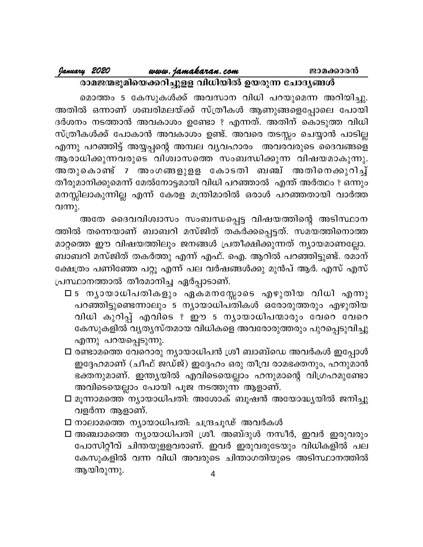| ജാമക്കാരൻ |  |
|-----------|--|
|-----------|--|

#### www.jamakaran.com January 2020

.<br>രാമജന്മഭൂമിയെക്കറിച്ചുളള വിധിയിൽ ഉയരുന്ന ചോദൃങ്ങൾ

മൊത്തം 5 കേസുകൾക്ക് അവസാന വിധി പറയുമെന്ന അറിയിച്ചു. അതിൽ ഒന്നാണ് ശബരിമലയ്ക്ക് സ്ത്രീകൾ ആണുങ്ങളെപ്പോലെ പോയി ദർശനം നടത്താൻ അവകാശം ഉണ്ടോ ? എന്നത്. അതിന് കൊടുത്ത വിധി സ്ത്രീകൾക്ക് പോകാൻ അവകാശം ഉണ്ട്. അവരെ തടസ്സം ചെയ്യാൻ പാടില്ല എന്നു പറഞ്ഞിട്ട് അയ്യപ്പന്റെ അമ്പല വ്യവഹാരം അവരവരുടെ ദൈവങ്ങളെ ആരാധിക്കുന്നവരുടെ വിശ്വാസത്തെ സംബന്ധിക്കുന്ന വിഷയമാകുന്നു. അതുകൊണ്ട് 7 അംഗങ്ങളുളള കോടതി ബഞ്ച് അതിനെക്കുറിച്ച് തീരുമാനിക്കുമെന്ന് മേൽനോട്ടമായി വിധി പറഞ്ഞാൽ എന്ത് അർത്ഥം ? ഒന്നും മനസ്സിലാകുന്നില്ല എന്ന് കേരള മന്ത്രിമാരിൽ ഒരാൾ പറഞ്ഞതായി വാർത്ത വന്നു.

അതേ ദൈവവിശ്വാസം സംബന്ധപ്പെട്ട വിഷയത്തിന്റെ അടിസ്ഥാന ത്തിൽ തന്നെയാണ് ബാബറി മസ്ജിത് തകർക്കപ്പെട്ടത്. സമയത്തിനൊത്ത മാറ്റത്തെ ഈ വിഷയത്തിലും ജനങ്ങൾ പ്രതീക്ഷിക്കുന്നത് ന്യായമാണല്ലോ. ബാബറി മസ്ജിത് തകർത്തു എന്ന് എഫ്. ഐ. ആറിൽ പറഞ്ഞിട്ടുണ്ട്. രമാന് ക്ഷേത്രം പണിഞ്ഞേ പറ്റൂ എന്ന് പല വർഷങ്ങൾക്കു മുൻപ് ആർ. എസ് എസ് പ്രസ്ഥാനത്താൽ തീരമാനിച്ച ഏർപ്പാടാണ്.

- ⊡ 5 നൃായാധിപതികളും ഏകമനസ്സോടെ എഴുതിയ വിധി എന്നു പറഞ്ഞിട്ടുണ്ടെന്നാലും 5 ന്യായാധിപതികൾ ഒരോരുത്തരും എഴുതിയ വിധി കുറിപ്പ് എവിടെ ? ഈ 5 നൃായാധിപന്മാരും വേറെ വേറെ കേസുകളിൽ വൃത്യസ്തമായ വിധികളെ അവരോരുത്തരും പുറപ്പെടുവിച്ചു എന്നു പറയപ്പെടുന്നു.
- □ രണ്ടാമത്തെ വേറൊരു ന്യായാധിപൻ ശ്രീ ബാബ്ഡെ അവർകൾ ഇപ്പോൾ ഇദ്ദേഹമാണ് (ചീഫ് ജഡ്ജ്) ഇദ്ദേഹം ഒരു തീവ്ര രാമഭക്തനും, ഹനുമാൻ ഭക്തനുമാണ്. ഇന്ത്യയിൽ എവിടെയെല്ലാം ഹനുമാന്റെ വിഗ്രഹമുണ്ടോ അവിടെയെല്ലാം പോയി പൂജ നടത്തുന്ന ആളാണ്.
- $\Box$  മൂന്നാമത്തെ ന്യായാധിപതി: അശോക് ബൂഷൻ അയോദ്ധ്യയിൽ ജനിച്ചു വളർന്ന ആളാണ്.
- □ നാലാമത്തെ നൃായാധിപതി: ചന്ദ്രചൂഢ് അവർകൾ
- □ അഞ്ചാമത്തെ നൃായാധിപതി ശ്രീ. അബ്ദുൾ നസീർ, ഇവർ ഇരുവരും പോസിറ്റീവ് ചിന്തയുളളവരാണ്. ഇവർ ഇരുവരുടേയും വിധികളിൽ പല കേസുകളിൽ വന്ന വിധി അവരുടെ ചിന്താഗതിയുടെ അടിസ്ഥാനത്തിൽ ആയിരുന്നു.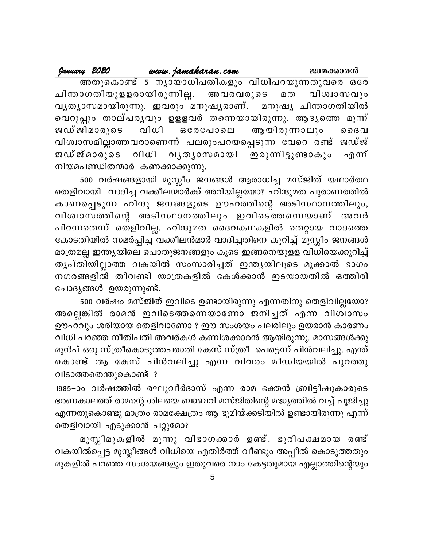|  | January 2020     www.jamakaran.com                           |  |  | ജാമക്കാരൻ |  |
|--|--------------------------------------------------------------|--|--|-----------|--|
|  | അതുകൊണ്ട് 5 നൃായാധിപതികളും വിധിപറയുന്നതുവരെ ഒരേ              |  |  |           |  |
|  | ചിന്താഗതിയുളളരായിരുന്നില്ല. അവരവരുടെ മത വിശ്വാസവും           |  |  |           |  |
|  | വൃത്യാസമായിരുന്നു. ഇവരും മനുഷ്യരാണ്. മനുഷ്യ ചിന്താഗതിയിൽ     |  |  |           |  |
|  | വെറുപ്പും താല്പര്യവും ഉളളവർ തന്നെയായിരുന്നു. ആദ്യത്തെ മൂന്ന് |  |  |           |  |
|  | ജഡ്ജിമാരുടെ വിധി ഒരേപോലെ ആയിരുന്നാലും ദൈവ                    |  |  |           |  |
|  | വിശ്വാസമില്ലാത്തവരാണെന്ന് പലരുംപറയപ്പെടുന്ന വേറെ രണ്ട് ജഡ്ജ് |  |  |           |  |
|  | ജഡ്ജ്മാരുടെ വിധി വൃത്യാസമായി ഇരുന്നിട്ടുണ്ടാകും എന്ന്        |  |  |           |  |
|  | നിയമപണ്ഡിതന്മാർ കണക്കാക്കുന്നു.                              |  |  |           |  |
|  | 500 വർഷങ്ങളായി മാസീപജനങ്ങൾ അരാധിപ മസ്ജിത് യഥാർത്ഥ            |  |  |           |  |

200 വരഷങ്ങളായി മുസ്തിം ജനങ്ങശ ആരാധിച്ച മന്നജിത യഥാരത്ഥ തെളിവായി വാദിച്ച വക്കീലന്മാർക്ക് അറിയില്ലയോ? ഹിന്ദുമത പുരാണത്തിൽ കാണപ്പെടുന്ന ഹിന്ദു ജനങ്ങളുടെ ഊഹത്തിന്റെ അടിസ്ഥാനത്തിലും, വിശ്വാസത്തിന്റെ അടിസ്ഥാനത്തിലും ഇവിടെത്തന്നെയാണ് അവർ പിറന്നതെന്ന് തെളിവില്ല. ഹിന്ദുമത ദൈവകഥകളിൽ തെറ്റായ വാദത്തെ കോടതിയിൽ സമർപ്പിച്ച വക്കീലൻമാർ വാദിച്ചതിനെ കുറിച്ച് മുസ്ലീം ജനങ്ങൾ മാത്രമല്ല ഇന്ത്യയിലെ പൊതുജനങ്ങളും കൂടെ ഇങ്ങനെയുളള വിധിയെക്കുറിച്ച് തൃപ്തിയില്ലാത്ത വകയിൽ സംസാരിച്ചത് ഇന്ത്യയിലൂടെ മുക്കാൽ ഭാഗം നഗരങ്ങളിൽ തീവണ്ടി യാത്രകളിൽ കേൾക്കാൻ ഇടയായതിൽ ഒത്തിരി ചോദ്യങ്ങൾ ഉയരുന്നുണ്ട്.

500 വർഷം മസ്ജിത് ഇവിടെ ഉണ്ടായിരുന്നു എന്നതിനു തെളിവില്ലയോ? അല്ലെങ്കിൽ രാമൻ ഇവിടെത്തന്നെയാണോ ജനിച്ചത് എന്ന വിശ്വാസം ഊഹവും ശരിയായ തെളിവാണോ ? ഈ സംശയം പലരിലും ഉയരാൻ കാരണം വിധി പറഞ്ഞ നീതിപതി അവർകൾ കണിശക്കാരൻ ആയിരുന്നു. മാസങ്ങൾക്കു മുൻപ് ഒരു സ്ത്രീകൊടുത്തപരാതി കേസ് സ്ത്രീ പെട്ടെന്ന് പിൻവലിച്ചു. എന്ത് കൊണ്ട് ആ കേസ് പിൻവലിച്ചു എന്ന വിവരം മീഡിയയിൽ പുറത്തു വിടാത്തതെന്തുകൊണ്ട് ?

1985–ാം വർഷത്തിൽ രഘുവീർദാസ് എന്ന രാമ ഭക്തൻ ബ്രിട്ടീഷുകാരുടെ ഭരണകാലത്ത് രാമന്റെ ശിലയെ ബാബറി മസ്ജിതിന്റെ മദ്ധ്യത്തിൽ വച്ച് പൂജിച്ചു എന്നതുകൊണ്ടു മാത്രം രാമക്ഷേത്രം ആ ഭൂമിയ്ക്കടിയിൽ ഉണ്ടായിരുന്നു എന്ന് തെളിവായി എടുക്കാൻ പറ്റുമോ?

മുസ്ലീമുകളിൽ മൂന്നു വിഭാഗക്കാർ ഉണ്ട്. ഭൂരിപക്ഷമായ രണ്ട് വകയിൽപ്പെട്ട മുസ്ലീങ്ങൾ വിധിയെ എതിർത്ത് വീണ്ടും അപ്പീൽ കൊടുത്തതും മുകളിൽ പറഞ്ഞ സംശയങ്ങളും ഇതുവരെ നാം കേട്ടതുമായ എല്ലാത്തിന്റെയും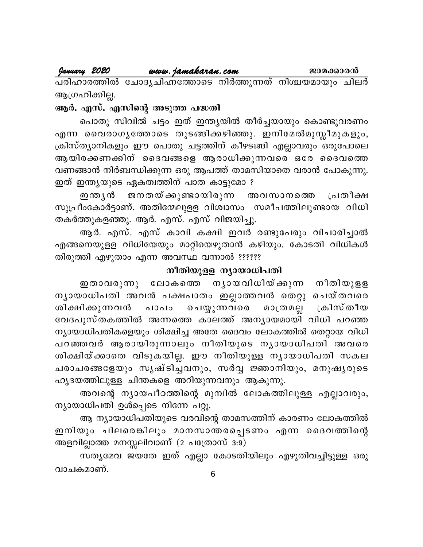January 2020

www.jamakaran.com

പരിഹാരത്തിൽ ചോദൃചിഹ്നത്തോടെ നിർത്തുന്നത് നിശ്ചയമായും ചിലർ ആഗ്രഹിക്കില്ല.

ആർ. എസ്. എസിന്റെ അടുത്ത പദ്ധതി

പൊതു സിവിൽ ചട്ടം ഇത് ഇന്ത്യയിൽ തീർച്ചയായും കൊണ്ടുവരണം എന്ന വൈരാഗൃത്തോടെ തുടങ്ങിക്കഴിഞ്ഞു. ഇനിമേൽമുസ്ലീമുകളും, ക്രിസ്ത്യാനികളും ഈ പൊതു ചട്ടത്തിന് കീഴടങ്ങി എല്ലാവരും ഒരുപോലെ ആയിരക്കണക്കിന് ദൈവങ്ങളെ ആരാധിക്കുന്നവരെ ഒരേ ദൈവത്തെ വണങ്ങാൻ നിർബന്ധിക്കുന്ന ഒരു ആപത്ത് താമസിയാതെ വരാൻ പോകുന്നു. ഇത് ഇന്ത്യയുടെ ഏകത്വത്തിന് പാത കാട്ടുമോ ?

ജനതയ്ക്കുണ്ടായിരുന്ന അവസാനത്തെ ഇന്ത ൃൻ പ്രതീക്ഷ സുപ്രീംകോർട്ടാണ്. അതിന്മേലുളള വിശ്വാസം സമീപത്തിലുണ്ടായ വിധി തകർത്തുകളഞ്ഞു. ആർ. എസ്. എസ് വിജയിച്ചു.

ആർ. എസ്. എസ് കാവി കക്ഷി ഇവർ രണ്ടുപേരും വിചാരിച്ചാൽ എങ്ങനെയുളള വിധിയേയും മാറ്റിയെഴുതാൻ കഴിയും. കോടതി വിധികൾ തിരുത്തി എഴുതാം എന്ന അവസ്ഥ വന്നാൽ ??????

#### നീതിയുളള ന്യായാധിപതി

ലോകത്തെ നൃായവിധിയ്ക്കുന്ന നീതിയുളള ഇതാവരുന്നു നൃായാധിപതി അവൻ പക്ഷപാതം ഇല്ലാത്തവൻ തെറ്റു ചെയ്തവരെ ചെയ്യുന്നവരെ ക്രിസ്തീയ മാത്രമല്ല ശിക്ഷിക്കുന്നവൻ പാപം വേദപുസ്തകത്തിൽ അന്നത്തെ കാലത്ത് അന്യായമായി വിധി പറഞ്ഞ ന്യായാധിപതികളെയും ശിക്ഷിച്ച അതേ ദൈവം ലോകത്തിൽ തെറ്റായ വിധി പറഞ്ഞവർ ആരായിരുന്നാലും നീതിയുടെ നൃായാധിപതി അവരെ ശിക്ഷിയ്ക്കാതെ വിടുകയില്ല. ഈ നീതിയുള്ള ന്യായാധിപതി സകല ചരാചരങ്ങളേയും സൃഷ്ടിച്ചവനും, സർവ്വ ജ്ഞാനിയും, മനുഷൃരുടെ ഹൃദയത്തിലുള്ള ചിന്തകളെ അറിയുന്നവനും ആകുന്നു.

അവന്റെ ന്യായപീഠത്തിന്റെ മുമ്പിൽ ലോകത്തിലുള്ള എല്ലാവരും, ന്യായാധിപതി ഉൾപ്പെടെ നിന്നേ പറ്റൂ.

ആ ന്യായാധിപതിയുടെ വരവിന്റെ താമസത്തിന് കാരണം ലോകത്തിൽ ഇനിയും ചിലരെങ്കിലും മാനസാന്തരപ്പെടണം എന്ന ദൈവത്തിന്റെ അളവില്ലാത്ത മനസ്സലിവാണ് (2 പത്രോസ് 3:9)

സത്യമേവ ജയതേ ഇത് എല്ലാ കോടതിയിലും എഴുതിവച്ചിട്ടുള്ള ഒരു വാചകമാണ്.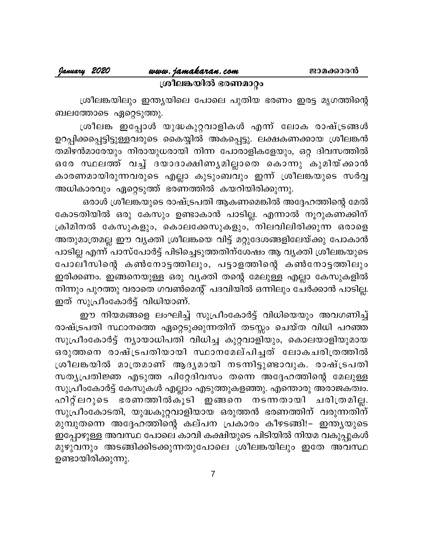#### www.jamakaran.com

#### ശ്രീലങ്കയിൽ ഭരണമാറ്റം

ശ്രീലങ്കയിലും ഇന്ത്യയിലെ പോലെ പുതിയ ഭരണം ഇരട്ട മൃഗത്തിന്റെ ബലത്തോടെ ഏറ്റെടുത്തു.

ശ്രീലങ്ക ഇപ്പോൾ യുദ്ധകുറ്റവാളികൾ എന്ന് ലോക രാഷ്ട്രങ്ങൾ ഉറപ്പിക്കപ്പെട്ടിട്ടുള്ളവരുടെ കൈയ്യിൽ അകപ്പെട്ടു. ലക്ഷകണക്കായ ശ്രീലങ്കൻ തമിഴൻമാരേയും നിരായുധരായി നിന്ന പോരാളികളേയും, ഒറ്റ ദിവസത്തിൽ ഒരേ സ്ഥലത്ത് വച്ച് ദയാദാക്ഷിണ്യമില്ലാതെ കൊന്നു കുമിയ്ക്കാൻ കാരണമായിരുന്നവരുടെ എല്ലാ കുടുംബവും ഇന്ന് ശ്രീലങ്കയുടെ സർവ്വ അധികാരവും ഏറ്റെടുത്ത് ഭരണത്തിൽ കയറിയിരിക്കുന്നു.

ഒരാൾ ശ്രീലങ്കയുടെ രാഷ്ട്രപതി ആകണമെങ്കിൽ അദ്ദേഹത്തിന്റെ മേൽ കോടതിയിൽ ഒരു കേസും ഉണ്ടാകാൻ പാടില്ല. എന്നാൽ നൂറുകണക്കിന് ക്രിമിനൽ കേസുകളും, കൊലക്കേസുകളും, നിലവിലിരിക്കുന്ന ഒരാളെ അതുമാത്രമല്ല ഈ വ്യക്തി ശ്രീലങ്കയെ വിട്ട് മറ്റുദേശങ്ങളിലേയ്ക്കു പോകാൻ പാടില്ല എന്ന് പാസ്പോർട്ട് പിടിച്ചെടുത്തതിന്ശേഷം ആ വൃക്തി ശ്രീലങ്കയുടെ പോലീസിന്റെ കൺനോട്ടത്തിലും, പട്ടാളത്തിന്റെ കൺനോട്ടത്തിലും ഇരിക്കണം. ഇങ്ങനെയുള്ള ഒരു വൃക്തി തന്റെ മേലുള്ള എല്ലാ കേസുകളിൽ നിന്നും പുറത്തു വരാതെ ഗവൺമെന്റ് പദവിയിൽ ഒന്നിലും ചേർക്കാൻ പാടില്ല. ഇത് സുപ്രീംകോർട്ട് വിധിയാണ്.

ഈ നിയമങ്ങളെ ലംഘിച്ച് സുപ്രീംകോർട്ട് വിധിയെയും അവഗണിച്ച് രാഷ്ട്രപതി സ്ഥാനത്തെ ഏറ്റെടുക്കുന്നതിന് തടസ്സം ചെയ്ത വിധി പറഞ്ഞ സുപ്രീംകോർട്ട് ന്യായാധിപതി വിധിച്ച കുറ്റവാളിയും, കൊലയാളിയുമായ ഒരുത്തനെ രാഷ്ട്രപതിയായി സ്ഥാനമേല്പിച്ചത് ലോകചരിത്രത്തിൽ ശ്രീലങ്കയിൽ മാത്രമാണ് ആദൃമായി നടന്നിട്ടുണ്ടാവുക. രാഷ്ട്രപതി സത്യപ്രതിജ്ഞ എടുത്ത പിറ്റേദിവസം തന്നെ അദ്ദേഹത്തിന്റെ മേലുള്ള സുപ്രീംകോർട്ട് കേസുകൾ എല്ലാം എടുത്തുകളഞ്ഞു. എന്തൊരു അരാജകത്വം. ഹിറ്റ്ലറുടെ ഭരണത്തിൽകൂടി ഇങ്ങനെ നടന്നതായി ചരിത്രമില്ല. സുപ്രീംകോടതി, യുദ്ധകുറ്റവാളിയായ ഒരുത്തൻ ഭരണത്തിന് വരുന്നതിന് മുമ്പുതന്നെ അദ്ദേഹത്തിന്റെ കല്പന പ്രകാരം കീഴടങ്ങി!– ഇന്തൃയുടെ ഇപ്പോഴുള്ള അവസ്ഥ പോലെ കാവി കക്ഷിയുടെ പിടിയിൽ നിയമ വകുപ്പുകൾ മുഴുവനും അടങ്ങിക്കിടക്കുന്നതുപോലെ ശ്രീലങ്കയിലും ഇതേ അവസ്ഥ ഉണ്ടായിരിക്കുന്നു.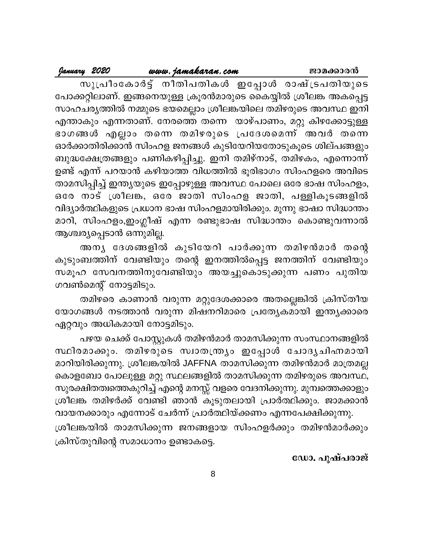| January 2020 |  | www.jamakaran.com |  | ജാമക്കാരൻ |  |
|--------------|--|-------------------|--|-----------|--|
|              |  |                   |  |           |  |

സുപ്രീംകോർട്ട് നീതിപതികൾ ഇപ്പോൾ രാഷ്ട്രപതിയുടെ പോക്കറ്റിലാണ്. ഇങ്ങനെയുള്ള ക്രൂരൻമാരുടെ കൈയ്യിൽ ശ്രീലങ്ക അകപ്പെട്ട സാഹചര്യത്തിൽ നമ്മുടെ ഭയമെല്ലാം ശ്രീലങ്കയിലെ തമിഴരുടെ അവസ്ഥ ഇനി എന്താകും എന്നതാണ്. നേരത്തെ തന്നെ യാഴ്പാണം, മറ്റു കിഴക്കോട്ടുള്ള ഭാഗങ്ങൾ എല്ലാം തന്നെ തമിഴരുടെ പ്രദേശമെന്ന് അവർ തന്നെ ഓർക്കാതിരിക്കാൻ സിംഹള ജനങ്ങൾ കുടിയേറിയതോടുകൂടെ ശില്പങ്ങളും ബുദ്ധക്ഷേത്രങ്ങളും പണികഴിപ്പിച്ചു. ഇനി തമിഴ്നാട്, തമിഴകം, എന്നൊന്ന് ഉണ്ട് എന്ന് പറയാൻ കഴിയാത്ത വിധത്തിൽ ഭൂരിഭാഗം സിംഹളരെ അവിടെ താമസിപ്പിച്ച് ഇന്ത്യയുടെ ഇപ്പോഴുള്ള അവസ്ഥ പോലെ ഒരേ ഭാഷ സിംഹളം, ഒരേ നാട് ശ്രീലങ്ക, ഒരേ ജാതി സിംഹള ജാതി, പള്ളികൂടങ്ങളിൽ വിദ്യാർത്ഥികളുടെ പ്രധാന ഭാഷ സിംഹളമായിരിക്കും. മൂന്നു ഭാഷാ സിദ്ധാന്തം മാറി, സിംഹളം,ഇംഗ്ലീഷ് എന്ന രണ്ടുഭാഷ സിദ്ധാന്തം കൊണ്ടുവന്നാൽ ആശ്ചര്യപ്പെടാൻ ഒന്നുമില്ല.

അന്യ ദേശങ്ങളിൽ കുടിയേറി പാർക്കുന്ന തമിഴൻമാർ തന്റെ കുടുംബത്തിന് വേണ്ടിയും തന്റെ ഇനത്തിൽപ്പെട്ട ജനത്തിന് വേണ്ടിയും സമൂഹ സേവനത്തിനുവേണ്ടിയും അയച്ചുകൊടുക്കുന്ന പണം പുതിയ ഗവൺമെന്റ് നോട്ടമിടും.

തമിഴരെ കാണാൻ വരുന്ന മറ്റുദേശക്കാരെ അതല്ലെങ്കിൽ ക്രിസ്തീയ യോഗങ്ങൾ നടത്താൻ വരുന്ന മിഷനറിമാരെ പ്രത്യേകമായി ഇന്ത്യക്കാരെ ഏറ്റവും അധികമായി നോട്ടമിടും.

പഴയ ചെക്ക് പോസ്റ്റുകൾ തമിഴൻമാർ താമസിക്കുന്ന സംസ്ഥാനങ്ങളിൽ സ്ഥിരമാക്കും. തമിഴരുടെ സ്വാതന്ത്ര്യം ഇപ്പോൾ ചോദ്യചിഹ്നമായി മാറിയിരിക്കുന്നു. ശ്രീലങ്കയിൽ JAFFNA താമസിക്കുന്ന തമിഴൻമാർ മാത്രമല്ല കൊളബോ പോലുള്ള മറ്റു സ്ഥലങ്ങളിൽ താമസിക്കുന്ന തമിഴരുടെ അവസ്ഥ, സുരക്ഷിതത്വത്തെകുറിച്ച് എന്റെ മനസ്സ് വളരെ വേദനിക്കുന്നു. മുമ്പത്തെക്കാളും ശ്രീലങ്ക തമിഴർക്ക് വേണ്ടി ഞാൻ കൂടുതലായി പ്രാർത്ഥിക്കും. ജാമക്കാൻ വായനക്കാരും എന്നോട് ചേർന്ന് പ്രാർത്ഥിയ്ക്കണം എന്നപേക്ഷിക്കുന്നു. ശ്രീലങ്കയിൽ താമസിക്കുന്ന ജനങ്ങളായ സിംഹളർക്കും തമിഴൻമാർക്കും ക്രിസ്തുവിന്റെ സമാധാനം ഉണ്ടാകട്ടെ.

ഡോ. പുഷ്പരാജ്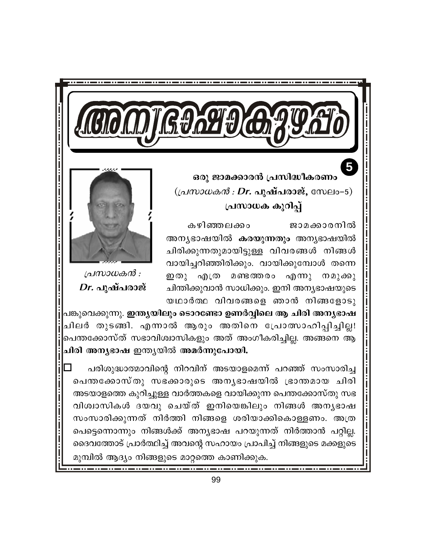ഒരു ജാമക്കാരൻ പ്രസിദ്ധീകരണം  $((\Delta M) \cup \Delta M \otimes \Delta M) \cdot Dr.$  പുഷ്പരാജ്, സേലം–5) പ്രസാധക കുറിപ്പ്

കഴിഞ്ഞലക്കം ജാമക്കാരനിൽ അന്യഭാഷയിൽ കരയുന്നതും അന്യഭാഷയിൽ ചിരിക്കുന്നതുമായിട്ടുള്ള വിവരങ്ങൾ നിങ്ങൾ വായിച്ചറിഞ്ഞിരിക്കും. വായിക്കുമ്പോൾ തന്നെ മണ്ടത്തരം എന്നു നമുക്കു ഇതു എത്ര ചിന്തിക്കുവാൻ സാധിക്കും. ഇനി അന്യഭാഷയുടെ യഥാർത്ഥ വിവരങ്ങളെ ഞാൻ നിങ്ങളോടു



പ്രസാധകൻ :  $Dr.$  പുഷ്പരാജ്

പങ്കുവെക്കുന്നു. ഇന്ത്യയിലും ടൊറണ്ടോ ഉണർവ്വിലെ ആ ചിരി അന്യഭാഷ ചിലർ തുടങ്ങി. എന്നാൽ ആരും അതിനെ പ്രോത്സാഹിപ്പിച്ചില്ല! പെന്തക്കോസ്ത് സഭാവിശ്വാസികളും അത് അംഗീകരിച്ചില്ല. അങ്ങനെ ആ ചിരി അന്യഭാഷ ഇന്ത്യയിൽ അമർന്നുപോയി.

പരിശുദ്ധാത്മാവിന്റെ നിറവിന് അടയാളമെന്ന് പറഞ്ഞ് സംസാരിച്ച പെന്തക്കോസ്തു സഭക്കാരുടെ അനൃഭാഷയിൽ ഭ്രാന്തമായ ചിരി അടയാളത്തെ കുറിച്ചുള്ള വാർത്തകളെ വായിക്കുന്ന പെന്തക്കോസ്തു സഭ വിശ്വാസികൾ ദയവു ചെയ്ത് ഇനിയെങ്കിലും നിങ്ങൾ അനൃഭാഷ സംസാരിക്കുന്നത് നിർത്തി നിങ്ങളെ ശരിയാക്കികൊള്ളണം. അത്ര പെട്ടെന്നൊന്നും നിങ്ങൾക്ക് അന്യഭാഷ പറയുന്നത് നിർത്താൻ പറ്റില്ല. ദൈവത്തോട് പ്രാർത്ഥിച്ച് അവന്റെ സഹായം പ്രാപിച്ച് നിങ്ങളുടെ മക്കളുടെ മുമ്പിൽ ആദ്യം നിങ്ങളുടെ മാറ്റത്തെ കാണിക്കുക.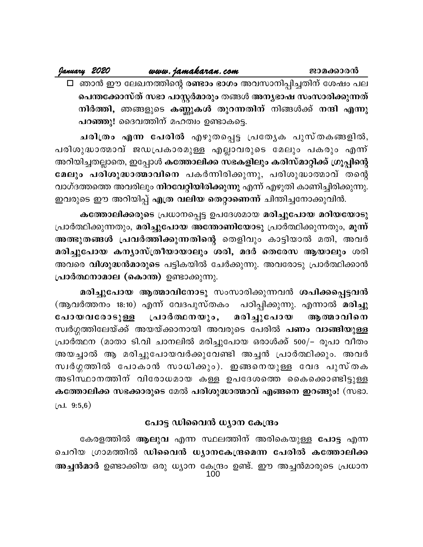#### www.jamakaran.com

January 2020

□ ഞാൻ ഈ ലേഖനത്തിന്റെ രണ്ടാം ഭാഗം അവസാനിപ്പിച്ചതിന് ശേഷം പല പെന്തക്കോസ്ത് സഭാ പാസ്റ്റർമാരും തങ്ങൾ അനൃഭാഷ സംസാരിക്കുന്നത് നിർത്തി, ഞങ്ങളുടെ കണ്ണുകൾ തുറന്നതിന് നിങ്ങൾക്ക് നന്ദി എന്നു പറഞ്ഞു! ദൈവത്തിന് മഹത്വം ഉണ്ടാകട്ടെ.

ചരിത്രം എന്ന പേരിൽ എഴുതപ്പെട്ട പ്രത്യേക പുസ്തകങ്ങളിൽ, പരിശുദ്ധാത്മാവ് ജഡപ്രകാരമുള്ള എല്ലാവരുടെ മേലും പകരും എന്ന് അറിയിച്ചതല്ലാതെ, ഇപ്പോൾ കത്തോലിക്ക സഭകളിലും കരിസ്മാറ്റിക്ക് ഗ്രൂപ്പിന്റെ മേലും പരിശുദ്ധാത്മാവിനെ പകർന്നിരിക്കുന്നു, പരിശുദ്ധാത്മാവ് തന്റെ വാഗ്ദത്തത്തെ അവരിലും **നിറവേറ്റിയിരിക്കുന്നു** എന്ന് എഴുതി കാണിച്ചിരിക്കുന്നു. ഇവരുടെ ഈ അറിയിപ്പ് എത്ര വലിയ തെറ്റാണെന്ന് ചിന്തിച്ചനോക്കുവിൻ.

കത്തോലിക്കരുടെ പ്രധാനപ്പെട്ട ഉപദേശമായ മരിച്ചുപോയ മറിയയോടു പ്രാർത്ഥിക്കുന്നതും, മരിച്ചുപോയ അന്തോണിയോടു പ്രാർത്ഥിക്കുന്നതും, മൂന്ന് അത്ഭുതങ്ങൾ പ്രവർത്തിക്കുന്നതിന്റെ തെളിവും കാട്ടിയാൽ മതി, അവർ മരിച്ചുപോയ കന്യാസ്ത്രീയായാലും ശരി, മദർ തെരേസ ആയാലും ശരി അവരെ **വിശുദ്ധൻമാരുടെ** പട്ടികയിൽ ചേർക്കുന്നു. അവരോടു പ്രാർത്ഥിക്കാൻ പ്രാർത്ഥനാമാല (കൊന്ത) ഉണ്ടാക്കുന്നു.

മരിച്ചുപോയ ആത്മാവിനോടു സംസാരിക്കുന്നവൻ ശപിക്കപ്പെട്ടവൻ (ആവർത്തനം 18:10) എന്ന് വേദപുസ്തകം പഠിപ്പിക്കുന്നു. എന്നാൽ മരിച്ചു പോയവരോടുള്ള പ്രാർത്ഥനയും, മരിച്ചുപോയ ആത്മാവിനെ സ്വർഗ്ഗത്തിലേയ്ക്ക് അയയ്ക്കാനായി അവരുടെ പേരിൽ <mark>പണം വാങ്ങിയുള്ള</mark> പ്രാർത്ഥന (മാതാ ടി.വി ചാനലിൽ മരിച്ചുപോയ ഒരാൾക്ക് 500/– രൂപാ വീതം അയച്ചാൽ ആ മരിച്ചുപോയവർക്കുവേണ്ടി അച്ചൻ പ്രാർത്ഥിക്കും. അവർ സ്വർഗ്ഗത്തിൽ പോകാൻ സാധിക്കും). ഇങ്ങനെയുള്ള വേദ പുസ്തക അടിസ്ഥാനത്തിന് വിരോധമായ കള്ള ഉപദേശത്തെ കൈക്കൊണ്ടിട്ടുള്ള കത്തോലിക്ക സഭക്കാരുടെ മേൽ പരിശുദ്ധാത്മാവ് എങ്ങനെ ഇറങ്ങും! (സഭാ. പ്ര.  $9:5,6)$ 

#### പോട്ട ഡിവൈൻ ധ്യാന കേന്ദ്രം

കേരളത്തിൽ ആലുവ എന്ന സ്ഥലത്തിന് അരികെയുള്ള പോട്ട എന്ന ചെറിയ ഗ്രാമത്തിൽ ഡിവൈൻ ധ്യാനകേന്ദ്രമെന്ന പേരിൽ കത്തോലിക്ക അച്ചൻമാർ ഉണ്ടാക്കിയ ഒരു ധ്യാന കേന്ദ്രം ഉണ്ട്. ഈ അച്ചൻമാരുടെ പ്രധാന 100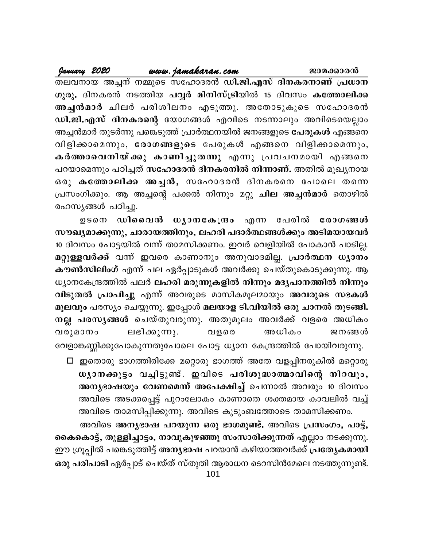January 2020 www.jamakaran.com ജാമക്കാരൻ

തലവനായ അച്ചന് നമ്മുടെ സഹോദരൻ ഡി.ജി.എസ് ദിനകരനാണ് പ്രധാന ഗുരു. ദിനകരൻ നടത്തിയ പവ്വർ മിനിസ്ട്രിയിൽ 15 ദിവസം കത്തോലിക്ക അച്ചൻമാർ ചിലർ പരിശീലനം എടുത്തു. അതോടുകൂടെ സഹോദരൻ ഡി.ജി.എസ് ദിനകരന്റെ യോഗങ്ങൾ എവിടെ നടന്നാലും അവിടെയെല്ലാം അച്ചൻമാർ തുടർന്നു പങ്കെടുത്ത് പ്രാർത്ഥനയിൽ ജനങ്ങളുടെ പേരുകൾ എങ്ങനെ വിളിക്കാമെന്നും, രോഗങ്ങളുടെ പേരുകൾ എങ്ങനെ വിളിക്കാമെന്നും, കർത്താവെനിയ്ക്കു കാണിച്ചുതന്നു എന്നു പ്രവചനമായി എങ്ങനെ പറയാമെന്നും പഠിച്ചത് സഹോദരൻ ദിനകരനിൽ നിന്നാണ്. അതിൽ മുഖ്യനായ ഒരു കത്തോലിക്ക അച്ചൻ, സഹോദരൻ ദിനകരനെ പോലെ തന്നെ പ്രസംഗിക്കും. ആ അച്ചന്റെ പക്കൽ നിന്നും മറ്റു <mark>ചില അച്ചൻമാർ</mark> തൊഴിൽ രഹസ്യങ്ങൾ പഠിച്ചു.

ഉടനെ ഡിവൈൻ ധ്യാനകേന്ദ്രം എന്ന പേരിൽ രോഗങ്ങൾ സൗഖ്യമാക്കുന്നു, ചാരായത്തിനും, ലഹരി പദാർത്ഥങ്ങൾക്കും അടിമയായവർ 10 ദിവസം പോട്ടയിൽ വന്ന് താമസിക്കണം. ഇവർ വെളിയിൽ പോകാൻ പാടില്ല. മറ്റുള്ളവർക്ക് വന്ന് ഇവരെ കാണാനും അനുവാദമില്ല. പ്രാർത്ഥന ധ്യാനം കൗൺസിലിംഗ് എന്ന് പല ഏർപ്പാടുകൾ അവർക്കു ചെയ്തുകൊടുക്കുന്നു. ആ ധ്യാനകേന്ദ്രത്തിൽ പലർ ലഹരി മരുന്നുകളിൽ നിന്നും മദൃപാനത്തിൽ നിന്നും വിടുതൽ പ്രാപിച്ചു എന്ന് അവരുടെ മാസികമൂലമായും അവരുടെ സഭകൾ മൂലവും പരസ്യം ചെയ്യുന്നു. ഇപ്പോൾ മലയാള ടി.വിയിൽ ഒരു ചാനൽ തുടങ്ങി. നല്ല പരസൃങ്ങൾ ചെയ്തുവരുന്നു. അതുമൂലം അവർക്ക് വളരെ അധികം ലഭിക്കുന്നു. വളരെ അധികം ജനങ്ങൾ വരുമാനം വേളാങ്കണ്ണിക്കുപോകുന്നതുപോലെ പോട്ട ധ്യാന കേന്ദ്രത്തിൽ പോയിവരുന്നു.

 $\Box$  ഇതൊരു ഭാഗത്തിരിക്കേ മറ്റൊരു ഭാഗത്ത് അതേ വളപ്പിനരുകിൽ മറ്റൊരു ധ്യാനക്കൂട്ടം വച്ചിട്ടുണ്ട്. ഇവിടെ പരിശുദ്ധാത്മാവിന്റെ നിറവും, അനൃഭാഷയും വേണമെന്ന് അപേക്ഷിച്ച് ചെന്നാൽ അവരും 10 ദിവസം അവിടെ അടക്കപ്പെട്ട് പുറംലോകം കാണാതെ ശക്തമായ കാവലിൽ വച്ച് അവിടെ താമസിപ്പിക്കുന്നു. അവിടെ കുടുംബത്തോടെ താമസിക്കണം.

അവിടെ അനൃഭാഷ പറയുന്ന ഒരു ഭാഗമുണ്ട്. അവിടെ പ്രസംഗം, പാട്ട്, കൈകൊട്ട്, തുള്ളിച്ചാട്ടം, നാവുകുഴഞ്ഞു സംസാരിക്കുന്നത് എല്ലാം നടക്കുന്നു. ഈ ഗ്രൂപ്പിൽ പങ്കെടുത്തിട്ട് <mark>അന്യഭാഷ</mark> പറയാൻ കഴിയാത്തവർക്ക് **പ്രത്യേകമായി** ഒരു പരിപാടി ഏർപ്പാട് ചെയ്ത് സ്തുതി ആരാധന ടെറസിൻമേലെ നടത്തുന്നുണ്ട്.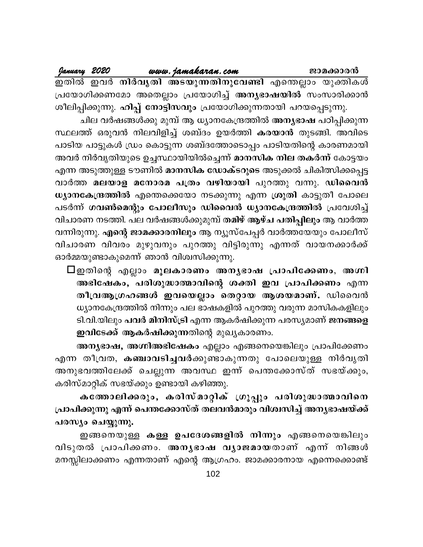| January 2020 |  | www.jamakaran.com                                      | ജാമക്കാരൻ |
|--------------|--|--------------------------------------------------------|-----------|
|              |  | ഇതിൽ ഇവർ നിർവൃതി അടയുന്നതിനുവേണ്ടി എന്തെല്ലാം യുക്തികൾ |           |
|              |  |                                                        |           |

പ്രയോഗിക്കണമോ അതെല്ലാം പ്രയോഗിച്ച് അനൃഭാഷയിൽ സംസാരിക്കാൻ ശീലിപ്പിക്കുന്നു. ഹിപ്പ് നോട്ടിസവും പ്രയോഗിക്കുന്നതായി പറയപ്പെടുന്നു.

ചില വർഷങ്ങൾക്കു മുമ്പ് ആ ധ്യാനകേന്ദ്രത്തിൽ **അന്യഭാഷ** പഠിപ്പിക്കുന്ന സ്ഥലത്ത് ഒരുവൻ നിലവിളിച്ച് ശബ്ദം ഉയർത്തി കരയാൻ തുടങ്ങി. അവിടെ പാടിയ പാട്ടുകൾ ഡ്രം കൊട്ടുന്ന ശബ്ദത്തോടൊപ്പം പാടിയതിന്റെ കാരണമായി അവർ നിർവൃതിയുടെ ഉച്ചസ്ഥായിയിൽച്ചെന്ന് മാനസിക നില തകർന്ന് കോട്ടയം എന്ന അടുത്തുള്ള ടൗണിൽ **മാനസിക ഡോക്ടറുടെ** അടുക്കൽ ചികിത്സിക്കപ്പെട്ട വാർത്ത മലയാള മനോരമ പത്രം വഴിയായി പുറത്തു വന്നു. ഡിവൈൻ ധ്യാനകേന്ദ്രത്തിൽ എന്തെക്കെയോ നടക്കുന്നു എന്ന ശ്രുതി കാട്ടുതീ പോലെ പടർന്ന് ഗവൺമെന്റും പോലീസും ഡിവൈൻ ധ്യാനകേന്ദ്രത്തിൽ പ്രവേശിച്ച് വിചാരണ നടത്തി. പല വർഷങ്ങൾക്കുമുമ്പ് തമിഴ് ആഴ്ച പതിപ്പിലും ആ വാർത്ത വന്നിരുന്നു. എന്റെ ജാമക്കാരനിലും ആ ന്യൂസ്പേപ്പർ വാർത്തയേയും പോലീസ് വിചാരണ വിവരം മുഴുവനും പുറത്തു വിട്ടിരുന്നു എന്നത് വായനക്കാർക്ക് ഓർമ്മയുണ്ടാകുമെന്ന് ഞാൻ വിശ്വസിക്കുന്നു.

⊡ഇതിന്റെ എല്ലാം മൂലകാരണം അനൃഭാഷ പ്രാപിക്കേണം, അഗ്നി അഭിഷേകം, പരിശുദ്ധാത്മാവിന്റെ ശക്തി ഇവ പ്രാപിക്കണം എന്ന തീവ്രആഗ്രഹങ്ങൾ ഇവയെല്ലാം തെറ്റായ ആശയമാണ്. ഡിവൈൻ ധ്യാനകേന്ദ്രത്തിൽ നിന്നും പല ഭാഷകളിൽ പുറത്തു വരുന്ന മാസികകളിലും ടി.വി.യിലും **പവർ മിനിസ്ട്രി** എന്ന ആകർഷിക്കുന്ന പരസ്യമാണ് ജനങ്ങളെ ഇവിടേക്ക് ആകർഷിക്കുന്നതിന്റെ മുഖ്യകാരണം.

അന്യഭാഷ, അഗ്നിഅഭിഷേകം എല്ലാം എങ്ങനെയെങ്കിലും പ്രാപിക്കേണം എന്ന തീവ്രത, **കഞ്ചാവടിച്ചവർ**ക്കുണ്ടാകുന്നതു പോലെയുള്ള നിർവൃതി അനുഭവത്തിലേക്ക് ചെല്ലുന്ന അവസ്ഥ ഇന്ന് പെന്തക്കോസ്ത് സഭയ്ക്കും, കരിസ്മാറ്റിക് സഭയ്ക്കും ഉണ്ടായി കഴിഞ്ഞു.

കത്തോലിക്കരും, കരിസ്മാറ്റിക് ഗ്രൂപ്പും പരിശുദ്ധാത്മാവിനെ പ്രാപിക്കുന്നു എന്ന് പെന്തക്കോസ്ത് തലവൻമാരും വിശ്വസിച്ച് അനൃഭാഷയ്ക്ക് പരസ്യം ചെയ്യുന്നു.

ഇങ്ങനെയുള്ള <mark>കള്ള ഉപദേശങ്ങളിൽ നിന്നും</mark> എങ്ങനെയെങ്കിലും വിടുതൽ പ്രാപിക്കണം. അനൃഭാഷ വൃാജമായതാണ് എന്ന് നിങ്ങൾ മനസ്സിലാക്കണം എന്നതാണ് എന്റെ ആഗ്രഹം. ജാമക്കാരനായ എന്നെക്കൊണ്ട്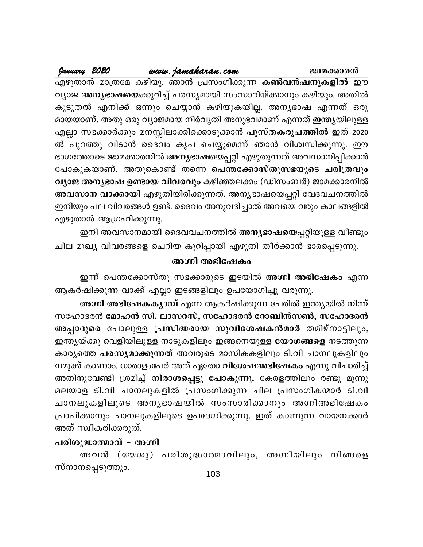www.jamakaran.com

January 2020

എഴുതാൻ മാത്രമേ കഴിയൂ. ഞാൻ പ്രസംഗിക്കുന്ന കൺവൻഷനുകളിൽ ഈ വ്യാജ അനൃഭാഷയെക്കുറിച്ച് പരസ്യമായി സംസാരിയ്ക്കാനും കഴിയും. അതിൽ കൂടുതൽ എനിക്ക് ഒന്നും ചെയ്യാൻ കഴിയുകയില്ല. അന്യഭാഷ എന്നത് ഒരു മായയാണ്. അതു ഒരു വ്യാജമായ നിർവൃതി അനുഭവമാണ് എന്നത് **ഇന്ത്യ**യിലുള്ള എല്ലാ സഭക്കാർക്കും മനസ്സിലാക്കിക്കൊടുക്കാൻ പുസ്തകരൂപത്തിൽ ഇത് 2020 ൽ പുറത്തു വിടാൻ ദൈവം കൃപ ചെയ്യുമെന്ന് ഞാൻ വിശ്വസിക്കുന്നു. ഈ ഭാഗത്തോടെ ജാമക്കാരനിൽ അന്യഭാഷയെപ്പറ്റി എഴുതുന്നത് അവസാനിപ്പിക്കാൻ പോകുകയാണ്. അതുകൊണ്ട് തന്നെ പെന്തക്കോസ്തുസഭയുടെ ചരിത്രവും വ്യാജ അന്യഭാഷ ഉണ്ടായ വിവരവും കഴിഞ്ഞലക്കം (ഡിസംബർ) ജാമക്കാരനിൽ അവസാന വാക്കായി എഴുതിയിരിക്കുന്നത്. അന്യഭാഷയെപ്പറ്റി വേദവചനത്തിൽ ഇനിയും പല വിവരങ്ങൾ ഉണ്ട്. ദൈവം അനുവദിച്ചാൽ അവയെ വരും കാലങ്ങളിൽ എഴുതാൻ ആഗ്രഹിക്കുന്നു.

ഇനി അവസാനമായി ദൈവവചനത്തിൽ അനൃഭാഷയെപ്പറ്റിയുള്ള വീണ്ടും ചില മുഖ്യ വിവരങ്ങളെ ചെറിയ കുറിപ്പായി എഴുതി തീർക്കാൻ ഭാരപ്പെടുന്നു.

#### അഗ്നി അഭിഷേകം

ഇന്ന് പെന്തക്കോസ്തു സഭക്കാരുടെ ഇടയിൽ **അഗ്നി അഭിഷേകം** എന്ന ആകർഷിക്കുന്ന വാക്ക് എല്ലാ ഇടങ്ങളിലും ഉപയോഗിച്ചു വരുന്നു.

അഗ്നി അഭിഷേകകൃാമ്പ് എന്ന ആകർഷിക്കുന്ന പേരിൽ ഇന്ത്യയിൽ നിന്ന് സഹോദരൻ മോഹൻ സി. ലാസറസ്, സഹോദരൻ റോബിൻസൺ, സഹോദരൻ അപ്പാദുരെ പോലുള്ള പ്രസിദ്ധരായ സുവിശേഷകൻമാർ തമിഴ്നാട്ടിലും, ഇന്ത്യയ്ക്കു വെളിയിലുള്ള നാടുകളിലും ഇങ്ങനെയുള്ള യോഗങ്ങളെ നടത്തുന്ന കാര്യത്തെ പരസ്യമാക്കുന്നത് അവരുടെ മാസികകളിലും ടി.വി ചാനലുകളിലും നമുക്ക് കാണാം. ധാരാളംപേർ അത് ഏതോ **വിശേഷഅഭിഷേകം** എന്നു വിചാരിച്ച് അതിനുവേണ്ടി ശ്രമിച്ച് നിരാശപ്പെട്ടു പോകുന്നു. കേരളത്തിലും രണ്ടു മൂന്നു മലയാള ടി.വി ചാനലുകളിൽ പ്രസംഗിക്കുന്ന ചില പ്രസംഗികന്മാർ ടി.വി ചാനലുകളിലൂടെ അനൃഭാഷയിൽ സംസാരിക്കാനും അഗ്നിഅഭിഷേകം പ്രാപിക്കാനും ചാനലുകളിലൂടെ ഉപദേശിക്കുന്നു. ഇത് കാണുന്ന വായനക്കാർ അത് സ്വീകരിക്കരുത്.

#### പരിശുദ്ധാത്മാവ് - അഗ്നി

അവൻ (യേശു) പരിശുദ്ധാത്മാവിലും, അഗ്നിയിലും നിങ്ങളെ സ്നാനപ്പെടുത്തും.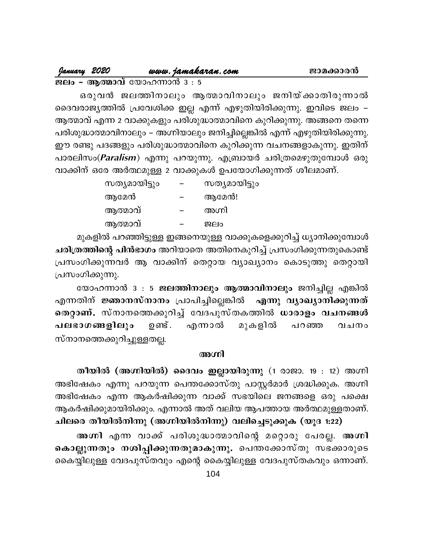www.jamakaran.com January 2020

ജലം – ആത്മാവ് യോഹന്നാൻ 3 : 5

ഒരുവൻ ജലത്തിനാലും ആത്മാവിനാലും ജനിയ്ക്കാതിരുന്നാൽ ദൈവരാജ്യത്തിൽ പ്രവേശിക്ക ഇല്ല എന്ന് എഴുതിയിരിക്കുന്നു. ഇവിടെ ജലം – ആത്മാവ് എന്ന 2 വാക്കുകളും പരിശുദ്ധാത്മാവിനെ കുറിക്കുന്നു. അങ്ങനെ തന്നെ പരിശുദ്ധാത്മാവിനാലും – അഗ്നിയാലും ജനിച്ചില്ലെങ്കിൽ എന്ന് എഴുതിയിരിക്കുന്നു. ഈ രണ്ടു പദങ്ങളും പരിശുദ്ധാത്മാവിനെ കുറിക്കുന്ന വചനങ്ങളാകുന്നു. ഇതിന് പാരലിസം(Paralism) എന്നു പറയുന്നു. എബ്രായർ ചരിത്രമെഴുതുമ്പോൾ ഒരു വാക്കിന് ഒരേ അർത്ഥമുള്ള 2 വാക്കുകൾ ഉപയോഗിക്കുന്നത് ശീലമാണ്.

| സത്യമായിട്ടും | സത്യമായിട്ടും |
|---------------|---------------|
| ആമേൻ          | ആമേൻ!         |
| ആത്മാവ്       | അഗ്നി         |
| ആത്മാവ്       | $B2$ Plo      |

മുകളിൽ പറഞ്ഞിട്ടുള്ള ഇങ്ങനെയുള്ള വാക്കുകളെക്കുറിച്ച് ധ്യാനിക്കുമ്പോൾ ചരിത്രത്തിന്റെ പിൻഭാഗം അറിയാതെ അതിനെകുറിച്ച് പ്രസംഗിക്കുന്നതുകൊണ്ട് പ്രസംഗിക്കുന്നവർ ആ വാക്കിന് തെറ്റായ വ്യാഖ്യാനം കൊടുത്തു തെറ്റായി പ്രസംഗിക്കുന്നു.

യോഹന്നാൻ 3 : 5 ജലത്തിനാലും ആത്മാവിനാലും ജനിച്ചില്ല എങ്കിൽ എന്നതിന് <mark>ജ്ഞാനസ്നാനം</mark> പ്രാപിച്ചില്ലെങ്കിൽ <mark>എന്നു വ്യാഖ്യാനിക്കുന്നത്</mark> തെറ്റാണ്. സ്നാനത്തെക്കുറിച്ച് വേദപുസ്തകത്തിൽ ധാരാളം വചനങ്ങൾ പലഭാഗങ്ങളിലും ഉണ്ട് . മുകളിൽ എന്നാൽ പറഞ്ഞ വചനം സ്നാനത്തെക്കുറിച്ചുള്ളതല്ല.

#### അഗ്നി

തീയിൽ (അഗ്നിയിൽ) ദൈവം ഇല്ലായിരുന്നു (1 രാജാ. 19 : 12) അഗ്നി അഭിഷേകം എന്നു പറയുന്ന പെന്തക്കോസ്തു പാസ്റ്റർമാർ ശ്രദ്ധിക്കുക. അഗ്നി അഭിഷേകം എന്ന ആകർഷിക്കുന്ന വാക്ക് സഭയിലെ ജനങ്ങളെ ഒരു പക്ഷെ ആകർഷിക്കുമായിരിക്കും. എന്നാൽ അത് വലിയ ആപത്തായ അർത്ഥമുള്ളതാണ്.

ചിലരെ തീയിൽനിന്നു (അഗ്നിയിൽനിന്നു) വലിച്ചെടുക്കുക (യൂദ 1:22) അഗ്നി എന്ന വാക്ക് പരിശുദ്ധാത്മാവിന്റെ മറ്റൊരു പേരല്ല. അഗ്നി കൊല്ലുന്നതും നശിപ്പിക്കുന്നതുമാകുന്നു. പെന്തക്കോസ്തു സഭക്കാരുടെ കൈയ്യിലുള്ള വേദപുസ്തവും എന്റെ കൈയ്യിലുള്ള വേദപുസ്തകവും ഒന്നാണ്.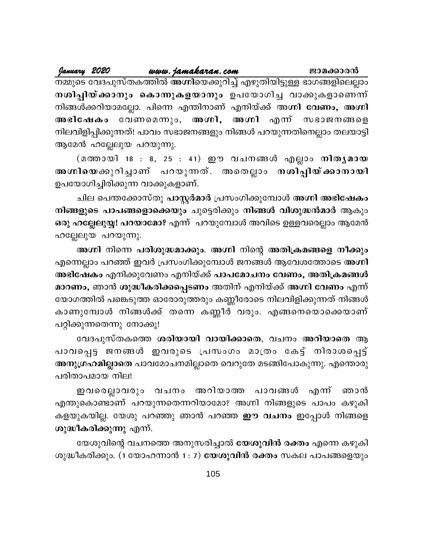January 2020 www.jamakaran.com ജാമക്കാരൻ നമ്മുടെ വേദപുസ്തകത്തിൽ അഗ്നിയെക്കുറിച്ച് എഴുതിയിട്ടുള്ള ഭാഗങ്ങളിലെല്ലാം നശിപ്പിയ്ക്കാനും കൊന്നുകളയാനും ഉപയോഗിച്ച വാക്കുകളാണെന്ന് നിങ്ങൾക്കറിയാമല്ലോ. പിന്നെ എന്തിനാണ് എനിയ്ക്ക് അഗ്നി **വേണം, അഗ്നി** അംഗവി, അംഗവി എന്ന് സഭാജനങ്ങളെ അഭിഷേകം വേണമെന്നും, നിലവിളിപ്പിക്കുന്നത്! പാവം സഭാജനങ്ങളും നിങ്ങൾ പറയുന്നതിനെല്ലാം തലയാട്ടി ആമേൻ ഹല്ലേലുയ പറയുന്നു.

(മത്തായി 18 : 8, 25 : 41) ഈ വചനങ്ങൾ എല്ലാം **നിതൃമായ** അഗ്നിയെക്കുറിച്ചാണ് പറയുന്നത്. അതെല്ലാം നശിപ്പിയ്ക്കാനായി ഉപയോഗിച്ചിരിക്കുന്ന വാക്കുകളാണ്.

ചില പെന്തക്കോസ്തു പാസ്റ്റർമാർ പ്രസംഗിക്കുമ്പോൾ അഗ്നി അഭിഷേകം നിങ്ങളുടെ പാപങ്ങളൊക്കെയും ചുട്ടെരിക്കും നിങ്ങൾ വിശുദ്ധൻമാർ ആകും ഒരു ഹല്ലേലുയ്യ! പറയാമോ? എന്ന് പറയുമ്പോൾ അവിടെ ഉള്ളവരെല്ലാം ആമേൻ ഹല്ലേലുയ പറയുന്നു.

അഗ്നി നിന്നെ പരിശുദ്ധമാക്കും. അഗ്നി നിന്റെ അതിക്രമങ്ങളെ നീക്കും എന്നെല്ലാം പറഞ്ഞ് ഇവർ പ്രസംഗിക്കുമ്പോൾ ജനങ്ങൾ ആവേശത്തോടെ അഗ്നി അഭിഷേകം എനിക്കുവേണം എനിയ്ക്ക് പാപമോചനം വേണം, അതിക്രമങ്ങൾ മാറണം, ഞാൻ ശുദ്ധീകരിക്കപ്പെടണം അതിന് എനിയ്ക്ക് അഗ്നി വേണം എന്ന് യോഗത്തിൽ പങ്കെടുത്ത ഓരോരുത്തരും കണ്ണീരോടെ നിലവിളിക്കുന്നത് നിങ്ങൾ കാണുമ്പോൾ നിങ്ങൾക്ക് തന്നെ കണ്ണീർ വരും. എങ്ങനെയൊക്കെയാണ് പറ്റിക്കുന്നതെന്നു നോക്കൂ!

വേദപുസ്തകത്തെ ശരിയായി വായിക്കാതെ, വചനം അറിയാതെ ആ പാവപ്പെട്ട ജനങ്ങൾ ഇവരുടെ പ്രസംഗം മാത്രം കേട്ട് നിരാശപ്പെട്ട് അനുഗ്രഹമില്ലാതെ പാവമോചനമില്ലാതെ വെറുതേ മടങ്ങിപോകുന്നു. എന്തൊരു പരിതാപമായ നില!

ഇവരെല്ലാവരും വചനം അറിയാത്ത പാവങ്ങൾ എന്ന് ഞാൻ എന്തുകൊണ്ടാണ് പറയുന്നതെന്നറിയാമോ? അഗ്നി നിങ്ങളുടെ പാപം കഴുകി കളയുകയില്ല. യേശു പറഞ്ഞു ഞാൻ പറഞ്ഞ **ഈ വചനം** ഇപ്പോൾ നിങ്ങളെ ശുദ്ധീകരിക്കുന്നു എന്ന്.

യേശുവിന്റെ വചനത്തെ അനുസരിച്ചാൽ യേശുവിൻ രക്തം എന്നെ കഴുകി ശുദ്ധീകരിക്കും. (1 യോഹന്നാൻ 1 : 7) **യേശുവിൻ രക്തം** സകല പാപങ്ങളെയും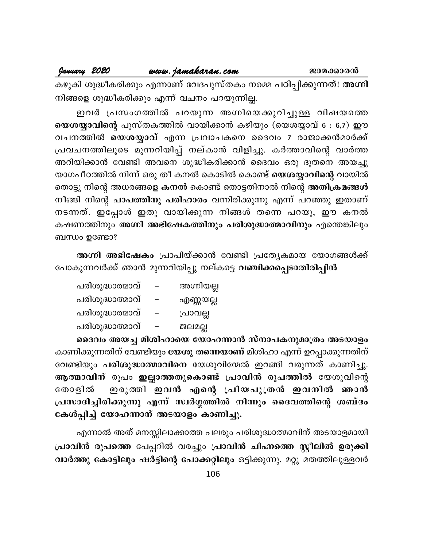#### www.jamakaran.com

January 2020

കഴുകി ശുദ്ധീകരിക്കും എന്നാണ് വേദപുസ്തകം നമ്മെ പഠിപ്പിക്കുന്നത്! **അഗ്നി** നിങ്ങളെ ശുദ്ധീകരിക്കും എന്ന് വചനം പറയുന്നില്ല.

ഇവർ പ്രസംഗത്തിൽ പറയുന്ന അഗ്നിയെക്കുറിച്ചുള്ള വിഷയത്തെ യെശയ്യാവിന്റെ പുസ്തകത്തിൽ വായിക്കാൻ കഴിയും (യെശയ്യാവ് 6 : 6,7) ഈ വചനത്തിൽ യെശയ്യാവ് എന്ന പ്രവാചകനെ ദൈവം 7 രാജാക്കൻമാർക്ക് പ്രവചനത്തിലൂടെ മുന്നറിയിപ്പ് നല്കാൻ വിളിച്ചു. കർത്താവിന്റെ വാർത്ത അറിയിക്കാൻ വേണ്ടി അവനെ ശുദ്ധീകരിക്കാൻ ദൈവം ഒരു ദൂതനെ അയച്ചു യാഗപീഠത്തിൽ നിന്ന് ഒരു തീ കനൽ കൊടിൽ കൊണ്ട് **യെശയ്യാവിന്റെ** വായിൽ തൊട്ടു നിന്റെ അധരങ്ങളെ കനൽ കൊണ്ട് തൊട്ടതിനാൽ നിന്റെ അതിക്രമങ്ങൾ നീങ്ങി നിന്റെ **പാപത്തിനു പരിഹാരം** വന്നിരിക്കുന്നു എന്ന് പറഞ്ഞു ഇതാണ് നടന്നത്. ഇപ്പോൾ ഇതു വായിക്കുന്ന നിങ്ങൾ തന്നെ പറയൂ, ഈ കനൽ കഷണത്തിനും അഗ്നി അഭിഷേകത്തിനും പരിശുദ്ധാത്മാവിനും എന്തെങ്കിലും ബന്ധം ഉണ്ടോ?

അഗ്നി അഭിഷേകം പ്രാപിയ്ക്കാൻ വേണ്ടി പ്രത്യേകമായ യോഗങ്ങൾക്ക്

പോകുന്നവർക്ക് ഞാൻ മുന്നറിയിപ്പു നല്കട്ടെ <mark>വഞ്ചിക്കപ്പെടാതിരിപ്പിൻ</mark>

| പരിശുദ്ധാത്മാവ് |   | അഗ്നിയല്ല |
|-----------------|---|-----------|
| പരിശുദ്ധാത്മാവ് |   | എണ്ണയല്ല  |
| പരിശുദ്ധാത്മാവ് | - | പ്രാവല്ല  |
| പരിശുദ്ധാത്മാവ് |   | ജലമല്ല    |

ദൈവം അയച്ച മിശിഹായെ യോഹന്നാൻ സ്നാപകനുമാത്രം അടയാളം കാണിക്കുന്നതിന് വേണ്ടിയും **യേശു തന്നെയാണ്** മിശിഹാ എന്ന് ഉറപ്പാക്കുന്നതിന് വേണ്ടിയും <mark>പരിശുദ്ധാത്മാവിനെ</mark> യേശുവിന്മേൽ ഇറങ്ങി വരുന്നത് കാണിച്ചു. ആത്മാവിന് രൂപം ഇല്ലാത്തതുകൊണ്ട് പ്രാവിൻ രൂപത്തിൽ യേശുവിന്റെ ഇരുത്തി ഇവൻ എന്റെ പ്രിയപുത്രൻ ഇവനിൽ ഞാൻ തോളിൽ പ്രസാദിച്ചിരിക്കുന്നു എന്ന് സ്വർഗ്ഗത്തിൽ നിന്നും ദൈവത്തിന്റെ ശബ്ദം കേൾപ്പിച്ച് യോഹന്നാന് അടയാളം കാണിച്ചു.

എന്നാൽ അത് മനസ്സിലാക്കാത്ത പലരും പരിശുദ്ധാത്മാവിന് അടയാളമായി പ്രാവിൻ രൂപത്തെ പേപ്പറിൽ വരച്ചും പ്രാവിൻ ചിഹ്നത്തെ സ്റ്റീലിൽ ഉരുക്കി വാർത്തു കോട്ടിലും ഷർട്ടിന്റെ പോക്കറ്റിലും ഒട്ടിക്കുന്നു. മറ്റു മതത്തിലുള്ളവർ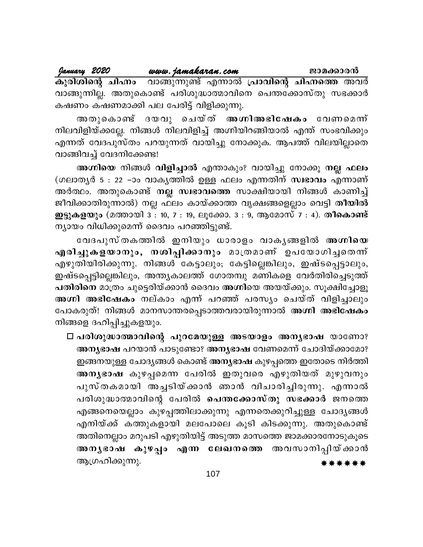January 2020 www.jamakaran.com ജാമക്കാരൻ കുരിശിന്റെ ചിഹ്നം വാങ്ങുന്നുണ്ട് എന്നാൽ പ്രാവിന്റെ ചിഹ്നത്തെ അവർ വാങ്ങുന്നില്ല. അതുകൊണ്ട് പരിശുദ്ധാത്മാവിനെ പെന്തക്കോസ്തു സഭക്കാർ കഷണം കഷണമാക്കി പല പേരിട്ട് വിളിക്കുന്നു.

അതുകൊണ്ട് ദയവു ചെയ്ത് അംഗവിഅഭിഷേകം വേണമെന്ന് നിലവിളിയ്ക്കല്ലേ. നിങ്ങൾ നിലവിളിച്ച് അഗ്നിയിറങ്ങിയാൽ എന്ത് സംഭവിക്കും എന്നത് വേദപുസ്തം പറയുന്നത് വായിച്ചു നോക്കുക. ആപത്ത് വിലയില്ലാതെ വാങ്ങിവച്ച് വേദനിക്കേണ്ട!

അഗ്നിയെ നിങ്ങൾ വിളിച്ചാൽ എന്താകും? വായിച്ചു നോക്കൂ നല്ല ഫലം (ഗലാതൃർ 5 : 22 –ാം വാകൃത്തിൽ ഉള്ള ഫലം എന്നതിന് സ്വഭാവം എന്നാണ് അർത്ഥം. അതുകൊണ്ട് **നല്ല സ്വഭാവത്തെ** സാക്ഷിയായി നിങ്ങൾ കാണിച്ച് ജീവിക്കാതിരുന്നാൽ) നല്ല ഫലം കായ്ക്കാത്ത വൃക്ഷങ്ങളെല്ലാം വെട്ടി തീയിൽ **ഇട്ടുകളയും** (മത്തായി  $3:10, 7:19,$ ലൂക്കോ.  $3:9,$  ആമോസ്  $7:4$ ). തീകൊണ്ട് ന്യായം വിധിക്കുമെന്ന് ദൈവം പറഞ്ഞിട്ടുണ്ട്.

വേദപുസ്തകത്തിൽ ഇനിയും ധാരാളം വാകൃങ്ങളിൽ അഗ്നിയെ എരിച്ചുകളയാനും, നശിപ്പിക്കാനും മാത്രമാണ് ഉപയോഗിച്ചതെന്ന് എഴുതിയിരിക്കുന്നു. നിങ്ങൾ കേട്ടാലും; കേട്ടില്ലെങ്കിലും, ഇഷ്ടപ്പെട്ടാലും, ഇഷ്ടപ്പെട്ടില്ലെങ്കിലും, അന്ത്യകാലത്ത് ഗോതമ്പു മണികളെ വേർതിരിച്ചെടുത്ത് പതിരിനെ മാത്രം ചുട്ടെരിയ്ക്കാൻ ദൈവം അഗ്നിയെ അയയ്ക്കും. സൂക്ഷിച്ചോളൂ അഗ്നി അഭിഷേകം നല്കാം എന്ന് പറഞ്ഞ് പരസ്യം ചെയ്ത് വിളിച്ചാലും പോകരുത്! നിങ്ങൾ മാനസാന്തരപ്പെടാത്തവരായിരുന്നാൽ അഗ്നി അഭിഷേകം നിങ്ങളെ ദഹിപ്പിച്ചുകളയും.

□ പരിശുദ്ധാത്മാവിന്റെ പുറമേയുള്ള അടയാളം അനൃഭാഷ യാണോ? അനൃഭാഷ പറയാൻ പാടുണ്ടോ? അനൃഭാഷ വേണമെന്ന് ചോദിയ്ക്കാമോ? ഇങ്ങനയുള്ള ചോദ്യങ്ങൾ കൊണ്ട് അന്യഭാഷ കുഴപ്പത്തെ ഇതോടെ നിർത്തി അനൃഭാഷ കുഴപ്പമെന്ന പേരിൽ ഇതുവരെ എഴുതിയത് മുഴുവനും പുസ്തകമായി അച്ചടിയ്ക്കാൻ ഞാൻ വിചാരിച്ചിരുന്നു. എന്നാൽ പരിശുദ്ധാത്മാവിന്റെ പേരിൽ പെന്തക്കോസ്തു സഭക്കാർ ജനത്തെ എങ്ങനെയെല്ലാം കുഴപ്പത്തിലാക്കുന്നു എന്നതെക്കുറിച്ചുള്ള ചോദ്യങ്ങൾ എനിയ്ക്ക് കത്തുകളായി മലപോലെ കൂടി കിടക്കുന്നു. അതുകൊണ്ട് അതിനെല്ലാം മറുപടി എഴുതിയിട്ട് അടുത്ത മാസത്തെ ജാമക്കാരനോടുകൂടെ അനൃഭാഷ കുഴപ്പം എന്ന ലേഖനത്തെ അവസാനിപ്പിയ്ക്കാൻ ആഗ്രഹിക്കുന്നു. \*\*\*\*\*\*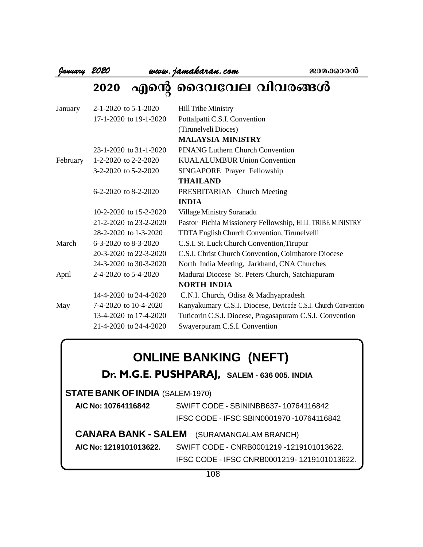# <u>2020 พพพ.jamakaran.com พอเอลองดาลิ</u><br>*ปุ๊ลพแลry* 2020 พพ*พ.jamakaran.com หลัก เปิด เดล*าว<br>ขั้นคุณ คุณิตาที่ คุณคุณเติด เปิด เดลาวิเต 2020 എന്റെ ദൈവവേല വിവരങ്ങൾ

| January  | 2-1-2020 to $5-1-2020$   | <b>Hill Tribe Ministry</b>                                    |
|----------|--------------------------|---------------------------------------------------------------|
|          | 17-1-2020 to 19-1-2020   | Pottalpatti C.S.I. Convention                                 |
|          |                          | (Tirunelveli Dioces)                                          |
|          |                          | <b>MALAYSIA MINISTRY</b>                                      |
|          | 23-1-2020 to 31-1-2020   | PINANG Luthern Church Convention                              |
| February | 1-2-2020 to 2-2-2020     | <b>KUALALUMBUR Union Convention</b>                           |
|          | 3-2-2020 to 5-2-2020     | SINGAPORE Prayer Fellowship                                   |
|          |                          | <b>THAILAND</b>                                               |
|          | 6-2-2020 to 8-2-2020     | PRESBITARIAN Church Meeting                                   |
|          |                          | <b>INDIA</b>                                                  |
|          | 10-2-2020 to 15-2-2020   | Village Ministry Soranadu                                     |
|          | 21-2-2020 to 23-2-2020   | Pastor Pichia Missionery Fellowship, HILL TRIBE MINISTRY      |
|          | 28-2-2020 to 1-3-2020    | TDTA English Church Convention, Tirunelvelli                  |
| March    | $6-3-2020$ to $8-3-2020$ | C.S.I. St. Luck Church Convention, Tirupur                    |
|          | 20-3-2020 to 22-3-2020   | C.S.I. Christ Church Convention, Coimbatore Diocese           |
|          | 24-3-2020 to 30-3-2020   | North India Meeting, Jarkhand, CNA Churches                   |
| April    | 2-4-2020 to 5-4-2020     | Madurai Diocese St. Peters Church, Satchiapuram               |
|          |                          | <b>NORTH INDIA</b>                                            |
|          | 14-4-2020 to 24-4-2020   | C.N.I. Church, Odisa & Madhyapradesh                          |
| May      | 7-4-2020 to 10-4-2020    | Kanyakumary C.S.I. Diocese, Devicode C.S.I. Church Convention |
|          | 13-4-2020 to 17-4-2020   | Tuticorin C.S.I. Diocese, Pragasapuram C.S.I. Convention      |
|          | 21-4-2020 to 24-4-2020   | Swayerpuram C.S.I. Convention                                 |
|          |                          |                                                               |

### **ONLINE BANKING (NEFT)**

#### **Dr. M.G.E. PUSHPARAJ, SALEM - 636 005. INDIA**

**STATE BANK OF INDIA** (SALEM-1970)

**A/C No: 10764116842** SWIFT CODE - SBININBB637- 10764116842 IFSC CODE - IFSC SBIN0001970 -10764116842

**CANARA BANK - SALEM** (SURAMANGALAM BRANCH)

**A/C No: 1219101013622.** SWIFT CODE - CNRB0001219 -1219101013622.

IFSC CODE - IFSC CNRB0001219- 1219101013622.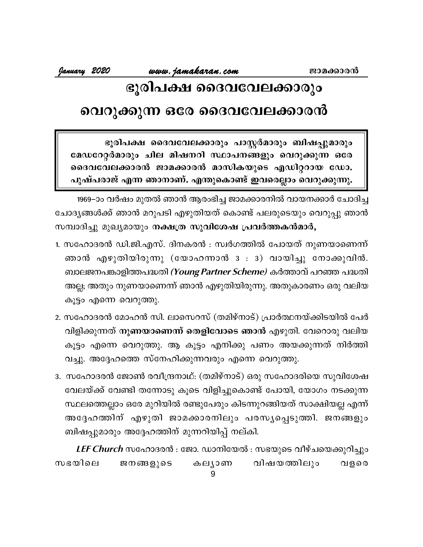# ഭൂരിപക്ഷ ദൈവവേലക്കാരും

## വെറുക്കുന്ന ഒരേ ദൈവവേലക്കാരൻ

ഭൂരിപക്ഷ ദൈവവേലക്കാരും പാസ്റ്റർമാരും ബിഷപ്പുമാരും മേഡറേറ്റർമാരും ചില മിഷനറി സ്ഥാപനങ്ങളും വെറുക്കുന്ന ഒരേ ദൈവവേലക്കാരൻ ജാമക്കാരൻ മാസികയുടെ എഡിറ്ററായ ഡോ. പുഷ്പരാജ് എന്ന ഞാനാണ്. എന്തുകൊണ്ട് ഇവരെല്ലാം വെറുക്കുന്നു.

1969–ാം വർഷം മുതൽ ഞാൻ ആരംഭിച്ച ജാമക്കാരനിൽ വായനക്കാർ ചോദിച്ച ചോദ്യങ്ങൾക്ക് ഞാൻ മറുപടി എഴുതിയത് കൊണ്ട് പലരുടെയും വെറുപ്പു ഞാൻ സമ്പാദിച്ചു മുഖ്യമായും നക്ഷത്ര സുവിശേഷ പ്രവർത്തകൻമാർ,

- 1. സഹോദരൻ ഡി.ജി.എസ്. ദിനകരൻ : സ്വർഗത്തിൽ പോയത് നുണയാണെന്ന് ഞാൻ എഴുതിയിരുന്നു (യോഹന്നാൻ 3 : 3) വായിച്ചു നോക്കുവിൻ. ബാലജനപങ്കാളിത്തപദ്ധതി (Young Partner Scheme) കർത്താവ് പറഞ്ഞ പദ്ധതി അല്ല; അതും നുണയാണെന്ന് ഞാൻ എഴുതിയിരുന്നു. അതുകാരണം ഒരു വലിയ കൂട്ടം എന്നെ വെറുത്തു.
- 2. സഹോദരൻ മോഹൻ സി. ലാസെറസ് (തമിഴ്നാട്) പ്രാർത്ഥനയ്ക്കിടയിൽ പേർ വിളിക്കുന്നത് നുണയാണെന്ന് തെളിവോടെ ഞാൻ എഴുതി. വേറൊരു വലിയ കൂട്ടം എന്നെ വെറുത്തു. ആ കൂട്ടം എനിക്കു പണം അയക്കുന്നത് നിർത്തി വച്ചു. അദ്ദേഹത്തെ സ്നേഹിക്കുന്നവരും എന്നെ വെറുത്തു.
- 3. സഹോദരൻ ജോൺ രവീന്ദ്രനാഥ്: (തമിഴ്നാട്) ഒരു സഹോദരിയെ സുവിശേഷ വേലയ്ക്ക് വേണ്ടി തന്നോടു കൂടെ വിളിച്ചുകൊണ്ട് പോയി, യോഗം നടക്കുന്ന സ്ഥലത്തെല്ലാം ഒരേ മുറിയിൽ രണ്ടുപേരും കിടന്നുറങ്ങിയത് സാക്ഷിയല്ല എന്ന് അദ്ദേഹത്തിന് എഴുതി ജാമക്കാരനിലും പരസൃപ്പെടുത്തി. ജനങ്ങളും ബിഷപ്പുമാരും അദ്ദേഹത്തിന് മുന്നറിയിപ്പ് നല്കി.

LEF Church സഹോദരൻ : ജോ. ഡാനിയേൽ : സഭയുടെ വീഴ്ചയെക്കുറിച്ചും സഭയിലെ ജനങ്ങളുടെ കല്യാണ വിഷയത്തിലും വളരെ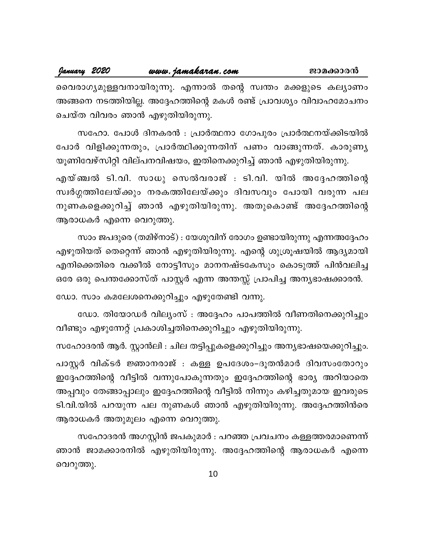ചെയ്ത വിവരം ഞാൻ എഴുതിയിരുന്നു.

സഹോ. പോൾ ദിനകരൻ : പ്രാർത്ഥനാ ഗോപുരം പ്രാർത്ഥനയ്ക്കിടയിൽ പോർ വിളിക്കുന്നതും, പ്രാർത്ഥിക്കുന്നതിന് പണം വാങ്ങുന്നത്. കാരുണൃ യൂണിവേഴ്സിറ്റി വില്പനവിഷയം, ഇതിനെക്കുറിച്ച് ഞാൻ എഴുതിയിരുന്നു.

എയ്ഞ്ചൽ ടി.വി. സാധു സെൽവരാജ് : ടി.വി. യിൽ അദ്ദേഹത്തിന്റെ സ്വർഗ്ഗത്തിലേയ്ക്കും നരകത്തിലേയ്ക്കും ദിവസവും പോയി വരുന്ന പല നുണകളെക്കുറിച്ച് ഞാൻ എഴുതിയിരുന്നു. അതുകൊണ്ട് അദ്ദേഹത്തിന്റെ ആരാധകർ എന്നെ വെറുത്തു.

സാം ജപദുരെ (തമിഴ്നാട്) : യേശുവിന് രോഗം ഉണ്ടായിരുന്നു എന്നഅദ്ദേഹം എഴുതിയത് തെറ്റെന്ന് ഞാൻ എഴുതിയിരുന്നു. എന്റെ ശുശ്രൂഷയിൽ ആദ്യമായി എനിക്കെതിരെ വക്കീൽ നോട്ടീസും മാനനഷ്ടകേസും കൊടുത്ത് പിൻവലിച്ച ഒരേ ഒരു പെന്തക്കോസ്ത് പാസ്റ്റർ എന്ന അന്തസ്സ് പ്രാപിച്ച അന്യഭാഷക്കാരൻ.

ഡോ. സാം കമലേശനെക്കുറിച്ചും എഴുതേണ്ടി വന്നു.

ഡോ. തിയോഡർ വില്യംസ് : അദ്ദേഹം പാപത്തിൽ വീണതിനെക്കുറിച്ചും വീണ്ടും എഴുന്നേറ്റ് പ്രകാശിച്ചതിനെക്കുറിച്ചും എഴുതിയിരുന്നു.

സഹോദരൻ ആർ. സ്റ്റാൻലി : ചില തട്ടിപ്പുകളെക്കുറിച്ചും അന്യഭാഷയെക്കുറിച്ചും. പാസ്റ്റർ വിക്ടർ ജ്ഞാനരാജ് : കള്ള ഉപദേശം–ദൂതൻമാർ ദിവസംതോറും ഇദ്ദേഹത്തിന്റെ വീട്ടിൽ വന്നുപോകുന്നതും ഇദ്ദേഹത്തിന്റെ ഭാര്യ അറിയാതെ അപ്പവും തേങ്ങാപ്പാലും ഇദ്ദേഹത്തിന്റെ വീട്ടിൽ നിന്നും കഴിച്ചതുമായ ഇവരുടെ ടി.വി.യിൽ പറയുന്ന പല നുണകൾ ഞാൻ എഴുതിയിരുന്നു. അദ്ദേഹത്തിൻരെ ആരാധകർ അതുമൂലം എന്നെ വെറുത്തു.

സഹോദരൻ അഗസ്റ്റിൻ ജപകുമാർ : പറഞ്ഞ പ്രവചനം കള്ളത്തരമാണെന്ന് ഞാൻ ജാമക്കാരനിൽ എഴുതിയിരുന്നു. അദ്ദേഹത്തിന്റെ ആരാധകർ എന്നെ വെറുത്തു.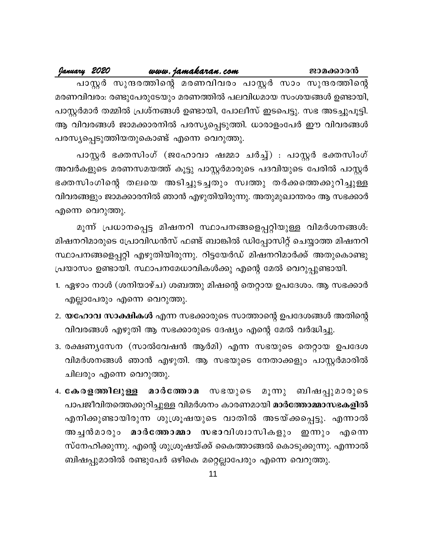January 2020 www.jamakaran.com ജാമക്കാരൻ പാസ്റ്റർ സുന്ദരത്തിന്റെ മരണവിവരം പാസ്റ്റർ സാം സുന്ദരത്തിന്റെ മരണവിവരം: രണ്ടുപേരുടേയും മരണത്തിൽ പലവിധമായ സംശയങ്ങൾ ഉണ്ടായി, പാസ്റ്റർമാർ തമ്മിൽ പ്രശ്നങ്ങൾ ഉണ്ടായി, പോലീസ് ഇടപെട്ടു. സഭ അടച്ചുപൂട്ടി. ആ വിവരങ്ങൾ ജാമക്കാരനിൽ പരസ്യപ്പെടുത്തി. ധാരാളംപേർ ഈ വിവരങ്ങൾ

പരസ്യപ്പെടുത്തിയതുകൊണ്ട് എന്നെ വെറുത്തു.

പാസ്റ്റർ ഭക്തസിംഗ് (ജഹോവാ ഷമ്മാ ചർച്ച്) : പാസ്റ്റർ ഭക്തസിംഗ് അവർകളുടെ മരണസമയത്ത് കൂട്ടു പാസ്റ്റർമാരുടെ പദവിയുടെ പേരിൽ പാസ്റ്റർ ഭക്തസിംഗിന്റെ തലയെ അടിച്ചുടച്ചതും സ്വത്തു തർക്കത്തെക്കുറിച്ചുള്ള വിവരങ്ങളും ജാമക്കാരനിൽ ഞാൻ എഴുതിയിരുന്നു. അതുമുഖാന്തരം ആ സഭക്കാർ എന്നെ വെറുത്തു.

മൂന്ന് പ്രധാനപ്പെട്ട മിഷനറി സ്ഥാപനങ്ങളെപ്പറ്റിയുള്ള വിമർശനങ്ങൾ: മിഷനറിമാരുടെ പ്രോവിഡൻസ് ഫണ്ട് ബാങ്കിൽ ഡിപ്പോസിറ്റ് ചെയ്യാത്ത മിഷനറി സ്ഥാപനങ്ങളെപ്പറ്റി എഴുതിയിരുന്നു. റിട്ടയേർഡ് മിഷനറിമാർക്ക് അതുകൊണ്ടു പ്രയാസം ഉണ്ടായി. സ്ഥാപനമേധാവികൾക്കു എന്റെ മേൽ വെറുപ്പുണ്ടായി.

- 1. ഏഴാം നാൾ (ശനിയാഴ്ച) ശബത്തു മിഷന്റെ തെറ്റായ ഉപദേശം. ആ സഭക്കാർ എല്ലാപേരും എന്നെ വെറുത്തു.
- 2. യഹോവ സാക്ഷികൾ എന്ന സഭക്കാരുടെ സാത്താന്റെ ഉപദേശങ്ങൾ അതിന്റെ വിവരങ്ങൾ എഴുതി ആ സഭക്കാരുടെ ദേഷ്യം എന്റെ മേൽ വർദ്ധിച്ചു.
- 3. രക്ഷണ്യസേന (സാൽവേഷൻ ആർമി) എന്ന സഭയുടെ തെറ്റായ ഉപദേശ വിമർശനങ്ങൾ ഞാൻ എഴുതി. ആ സഭയുടെ നേതാക്കളും പാസ്റ്റർമാരിൽ ചിലരും എന്നെ വെറുത്തു.
- 4. കേരളത്തിലുള്ള മാർത്തോമ സഭയുടെ മൂന്നു ബിഷപ്പുമാരുടെ പാപജീവിതത്തെക്കുറിച്ചുള്ള വിമർശനം കാരണമായി മാർത്തോമ്മാസഭകളിൽ എനിക്കുണ്ടായിരുന്ന ശുശ്രൂഷയുടെ വാതിൽ അടയ്ക്കപ്പെട്ടു. എന്നാൽ അച്ചൻമാരും **മാർത്തോമ്മാ സഭാ**വിശ്വാസികളും ഇന്നും എന്നെ സ്നേഹിക്കുന്നു. എന്റെ ശുശ്രൂഷയ്ക്ക് കൈത്താങ്ങൽ കൊടുക്കുന്നു. എന്നാൽ ബിഷപ്പുമാരിൽ രണ്ടുപേർ ഒഴികെ മറ്റെല്ലാപേരും എന്നെ വെറുത്തു.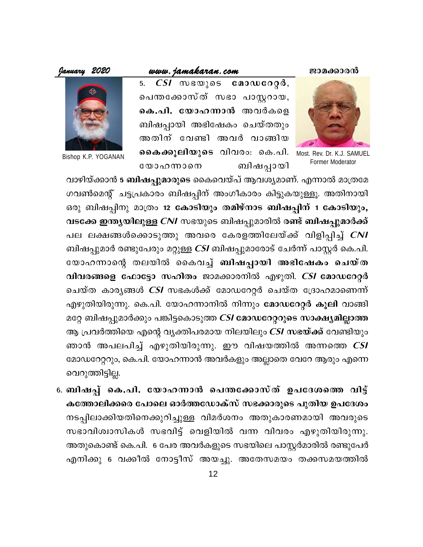

Most, Rev. Dr. K.J. SAMUEL Former Moderator

www.jamakaran.com

January 2020





Bishop K.P. YOGANAN

വാഴിയ്ക്കാൻ 5 **ബിഷപ്പുമാരുടെ** കൈവെയ്പ് ആവശ്യമാണ്. എന്നാൽ മാത്രമേ ഗവൺമെന്റ് ചട്ടപ്രകാരം ബിഷപ്പിന് അംഗീകാരം കിട്ടുകയുള്ളൂ. അതിനായി ഒരു ബിഷപ്പിനു മാത്രം 12 കോടിയും തമിഴ്നാട ബിഷപ്പിന് 1 കോടിയും, വടക്കേ ഇന്ത്യയിലുള്ള CNI സഭയുടെ ബിഷപ്പുമാരിൽ രണ്ട് ബിഷപ്പുമാർക്ക് പല ലക്ഷങ്ങൾക്കൊടുത്തു അവരെ കേരളത്തിലേയ്ക്ക് വിളിപ്പിച്ച് *CNI* ബിഷപ്പുമാർ രണ്ടുപേരും മറ്റുള്ള *CSI* ബിഷപ്പുമാരോട് ചേർന്ന് പാസ്റ്റർ കെ.പി. യോഹന്നാന്റെ തലയിൽ കൈവച്ച് ബിഷപ്പായി അഭിഷേകം ചെയ്ത വിവരങ്ങളെ ഫോട്ടോ സഹിതം ജാമക്കാരനിൽ എഴുതി. CSI മോഡറേറ്റർ ചെയ്ത കാര്യങ്ങൾ *CSI* സഭകൾക്ക് മോഡറേറ്റർ ചെയ്ത ദ്രോഹമാണെന്ന് എഴുതിയിരുന്നു. കെ.പി. യോഹന്നാനിൽ നിന്നും മോഡറേറ്റർ കൂലി വാങ്ങി മറ്റേ ബിഷപ്പുമാർക്കും പങ്കിട്ടകൊടുത്ത CSI മോഡറേറ്ററുടെ സാക്ഷ്യമില്ലാത്ത ആ പ്രവർത്തിയെ എന്റെ വ്യക്തിപരമായ നിലയിലും CSI സഭയ്ക്ക് വേണ്ടിയും ഞാൻ അപലപിച്ച് എഴുതിയിരുന്നു. ഈ വിഷയത്തിൽ അന്നത്തെ *CSI* മോഡറേറ്ററും, കെ.പി. യോഹന്നാൻ അവർകളും അല്ലാതെ വേറേ ആരും എന്നെ വെറുത്തിട്ടില്ല.

6. ബിഷപ്പ് കെ.പി. യോഹന്നാൻ പെന്തക്കോസ്ത് ഉപദേശത്തെ വിട്ട് കത്തോലിക്കരെ പോലെ ഓർത്തഡോക്സ് സഭക്കാരുടെ പുതിയ ഉപദേശം നടപ്പിലാക്കിയതിനെക്കുറിച്ചുള്ള വിമർശനം അതുകാരണമായി അവരുടെ സഭാവിശ്വാസികൾ സഭവിട്ട് വെളിയിൽ വന്ന വിവരം എഴുതിയിരുന്നു. അതുകൊണ്ട് കെ.പി. 6 പേര അവർകളുടെ സഭയിലെ പാസ്റ്റർമാരിൽ രണ്ടുപേർ എനിക്കു 6 വക്കീൽ നോട്ടീസ് അയച്ചു. അതേസമയം തക്കസമയത്തിൽ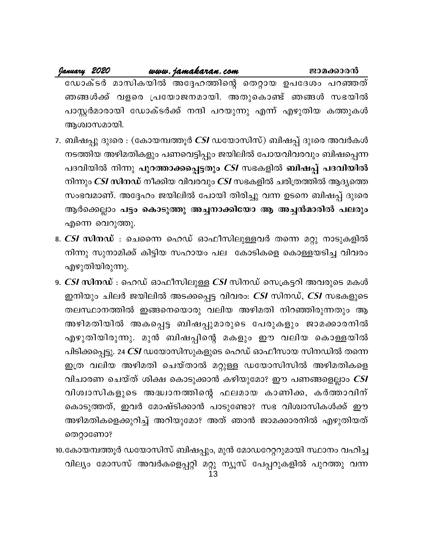#### January 2020 www.jamakaran.com ജാമക്കാരൻ ഡോക്ടർ മാസികയിൽ അദ്ദേഹത്തിന്റെ തെറ്റായ ഉപദേശം പറഞ്ഞത് ഞങ്ങൾക്ക് വളരെ പ്രയോജനമായി. അതുകൊണ്ട് ഞങ്ങൾ സഭയിൽ പാസ്റ്റർമാരായി ഡോക്ടർക്ക് നന്ദി പറയുന്നു എന്ന് എഴുതിയ കത്തുകൾ

ആശ്വാസമായി.

- 7. ബിഷപ്പു ദുഃരെ : (കോയമ്പത്തൂർ CSI ഡയോസിസ്) ബിഷപ്പ് ദുഃരെ അവർകൾ നടത്തിയ അഴിമതികളും പണവെട്ടിപ്പും ജയിലിൽ പോയവിവരവും ബിഷപ്പെന്ന പദവിയിൽ നിന്നു പുറത്താക്കപ്പെട്ടതും *CSI* സഭകളിൽ <mark>ബിഷപ്പ് പദവിയിൽ</mark> നിന്നും CSI സിനഡ് നീക്കിയ വിവരവും CSI സഭകളിൽ ചരിത്രത്തിൽ ആദ്യത്തെ സംഭവമാണ്. അദ്ദേഹം ജയിലിൽ പോയി തിരിച്ചു വന്ന ഉടനെ ബിഷപ്പ് ദുഃരെ ആർക്കെല്ലാം പട്ടം കൊടുത്തു അച്ചനാക്കിയോ ആ അച്ചൻമാരിൽ പലരും എന്നെ വെറുത്തു.
- 8. CSI സിനഡ് : ചെന്നൈ ഹെഡ് ഓഫീസിലുള്ളവർ തന്നെ മറ്റു നാടുകളിൽ നിന്നു സുനാമിക്ക് കിട്ടിയ സഹായം പല കോടികളെ കൊള്ളയടിച്ച വിവരം എഴുതിയിരുന്നു.
- 9. CSI സിനഡ് : ഹെഡ് ഓഫീസിലുള്ള CSI സിനഡ് സെക്രട്ടറി അവരുടെ മകൾ ഇനിയും ചിലർ ജയിലിൽ അടക്കപ്പെട്ട വിവരം: CSI സിനഡ്, CSI സഭകളുടെ തലസ്ഥാനത്തിൽ ഇങ്ങനെയൊരു വലിയ അഴിമതി നിറഞ്ഞിരുന്നതും ആ അഴിമതിയിൽ അകപ്പെട്ട ബിഷപ്പുമാരുടെ പേരുകളും ജാമക്കാരനിൽ എഴുതിയിരുന്നു. മുൻ ബിഷപ്പിന്റെ മകളും ഈ വലിയ കൊള്ളയിൽ പിടിക്കപ്പെട്ടു. 24 CSI ഡയോസിസുകളുടെ ഹെഡ് ഓഫീസായ സിനഡിൽ തന്നെ ഇത്ര വലിയ അഴിമതി ചെയ്താൽ മറ്റുള്ള ഡയോസിസിൽ അഴിമതികളെ വിചാരണ ചെയ്ത് ശിക്ഷ കൊടുക്കാൻ കഴിയുമോ? ഈ പണങ്ങളെല്ലാം CSI വിശ്വാസികളുടെ അദ്ധ്വാനത്തിന്റെ ഫലമായ കാണിക്ക, കർത്താവിന് കൊടുത്തത്, ഇവർ മോഷ്ടിക്കാൻ പാടുണ്ടോ? സഭ വിശ്വാസികൾക്ക് ഈ അഴിമതികളെക്കുറിച്ച് അറിയുമോ? അത് ഞാൻ ജാമക്കാരനിൽ എഴുതിയത് തെറ്റാണോ?
- 10.കോയമ്പത്തൂർ ഡയോസിസ് ബിഷപ്പും, മുൻ മോഡറേറ്ററുമായി സ്ഥാനം വഹിച്ച വില്യം മോസസ് അവർകളെപ്പറ്റി മറ്റു ന്യൂസ് പേപ്പറുകളിൽ പുറത്തു വന്ന<br>13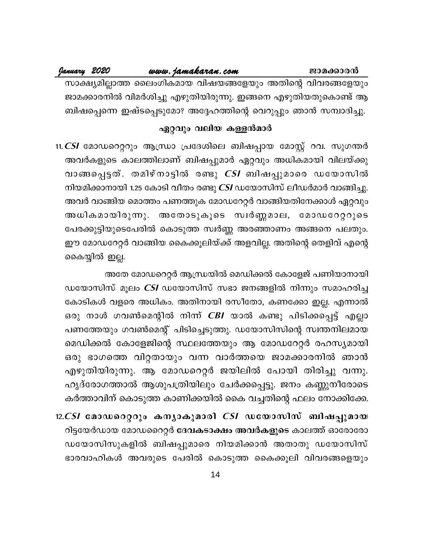#### www.jamakaran.com

January 2020

സാക്ഷ്യമില്ലാത്ത ലൈംഗികമായ വിഷയങ്ങളേയും അതിന്റെ വിവരങ്ങളേയും ജാമക്കാരനിൽ വിമർശിച്ചു എഴുതിയിരുന്നു. ഇങ്ങനെ എഴുതിയതുകൊണ്ട് ആ ബിഷപ്പെന്നെ ഇഷ്ടപ്പെടുമോ? അദ്ദേഹത്തിന്റെ വെറുപ്പും ഞാൻ സമ്പാദിച്ചു.

#### ഏറ്റവും വലിയ കള്ളൻമാർ

11. CSI മോഡറെറ്ററും ആന്ധ്രാ പ്രദേശിലെ ബിഷപ്പായ മോസ്റ്റ് റവ. സുഗന്തർ അവർകളുടെ കാലത്തിലാണ് ബിഷപ്പുമാർ ഏറ്റവും അധികമായി വിലയ്ക്കു വാങ്ങപ്പെട്ടത്. തമിഴ്നാട്ടിൽ രണ്ടു *CSI* ബിഷപ്പുമാരെ ഡയോസിൽ നിയമിക്കാനായി 1.25 കോടി വീതം രണ്ടു CSI ഡയോസിസ് ലീഡർമാർ വാങ്ങിച്ചു. അവർ വാങ്ങിയ മൊത്തം പണത്തുക മോഡറേറ്റർ വാങ്ങിയതിനേക്കാൾ ഏറ്റവും അധികമായിരുന്നു. അതോടുകൂടെ സ്വർണ്ണമാല, മോഡറേറ്ററുടെ പേരക്കുട്ടിയുടെപേരിൽ കൊടുത്ത സ്വർണ്ണ അരഞ്ഞാണം അങ്ങനെ പലതും. ഈ മോഡറേറ്റർ വാങ്ങിയ കൈക്കൂലിയ്ക്ക് അളവില്ല. അതിന്റെ തെളിവ് എന്റെ കൈയ്യിൽ ഇല്ല.

അതേ മോഡറെറ്റർ ആന്ധ്രയിൽ മെഡിക്കൽ കോളേജ് പണിയാനായി ഡയോസിസ് മൂലം CSI ഡയോസിസ് സഭാ ജനങ്ങളിൽ നിന്നും സമാഹരിച്ച കോടികൾ വളരെ അധികം. അതിനായി രസീതോ, കണക്കോ ഇല്ല. എന്നാൽ ഒരു നാൾ ഗവൺമെന്റിൽ നിന്ന് *CBI* യാൽ കണ്ടു പിടിക്കപ്പെട്ട് എല്ലാ പണത്തേയും ഗവൺമെന്റ് പിടിച്ചെടുത്തു. ഡയോസിസിന്റെ സ്വന്തനിലമായ മെഡിക്കൽ കോളേജിന്റെ സ്ഥലത്തേയും ആ മോഡറേറ്റർ രഹസ്യമായി ഒരു ഭാഗത്തെ വിറ്റതായും വന്ന വാർത്തയെ ജാമക്കാരനിൽ ഞാൻ എഴുതിയിരുന്നു. ആ മോഡറെറ്റർ ജയിലിൽ പോയി തിരിച്ചു വന്നു. ഹൃദ്രോഗത്താൽ ആശുപത്രിയിലും ചേർക്കപ്പെട്ടു. ജനം കണ്ണുനീരോടെ കർത്താവിന് കൊടുത്ത കാണിക്കയിൽ കൈ വച്ചതിന്റെ ഫലം നോക്കിക്കേ.

 $12. CSI$  മോഡറെറ്ററും കന്യാകുമാരി  $CSI$  ഡയോസിസ് ബിഷപ്പുമായ റിട്ടയേർഡായ മോഡറൈറ്റർ <mark>ദേവകടാക്ഷം അവർകളുടെ</mark> കാലത്ത് ഓരോരോ ഡയോസിസുകളിൽ ബിഷപ്പുമാരെ നിയമിക്കാൻ അതാതു ഡയോസിസ് ഭാരവാഹികൾ അവരുടെ പേരിൽ കൊടുത്ത കൈക്കൂലി വിവരങ്ങളെയും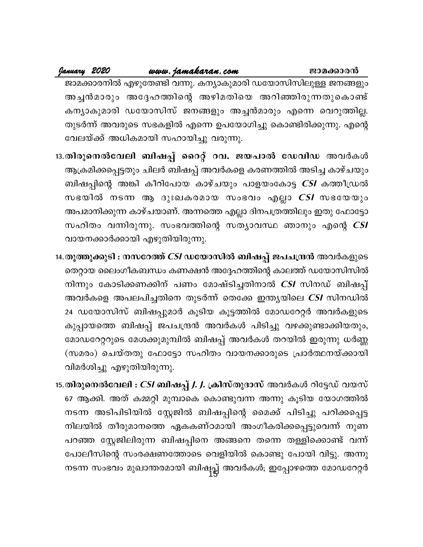#### January 2020 www.jamakaran.com

ജാമക്കാരനിൽ എഴുതേണ്ടി വന്നു. കന്യാകുമാരി ഡയോസിസിലുള്ള ജനങ്ങളും അച്ചൻമാരും അദ്ദേഹത്തിന്റെ അഴിമതിയെ അറിഞ്ഞിരുന്നതുകൊണ്ട് കന്യാകുമാരി ഡയോസിസ് ജനങ്ങളും അച്ചൻമാരും എന്നെ വെറുത്തില്ല. തുടർന്ന് അവരുടെ സഭകളിൽ എന്നെ ഉപയോഗിച്ചു കൊണ്ടിരിക്കുന്നു. എന്റെ വേലയ്ക്ക് അധികമായി സഹായിച്ചു വരുന്നു.

- 13.തിരുനെൽവേലി ബിഷപ്പ് റൈറ്റ് റവ. ജയപാൽ ഡേവിഡ അവർകൾ ആക്രമിക്കപ്പെട്ടതും ചിലർ ബിഷപ്പ് അവർകളെ കരണത്തിൽ അടിച്ച കാഴ്ചയും ബിഷപ്പിന്റെ അങ്കി കീറിപോയ കാഴ്ചയും പാളയംകോട്ട *CSI* കത്തീഡ്രൽ സഭയിൽ നടന്ന ആ ദുഃഖകരമായ സംഭവം എല്ലാ CSI സഭയേയും അപമാനിക്കുന്ന കാഴ്ചയാണ്. അന്നത്തെ എല്ലാ ദിനപത്രത്തിലും ഇതു ഫോട്ടോ സഹിതം വന്നിരുന്നു. സംഭവത്തിന്റെ സത്യാവസ്ഥ ഞാനും എന്റെ CSI വായനക്കാർക്കായി എഴുതിയിരുന്നു.
- 14.തൂത്തുക്കുടി : നസറേത്ത് *CSI* ഡയോസിൽ ബിഷപ്പ് ജപചന്ദ്രൻ അവർകളുടെ തെറ്റായ ലൈംഗീകബന്ധം കണക്ഷൻ അദ്ദേഹത്തിന്റെ കാലത്ത് ഡയോസിസിൽ നിന്നും കോടിക്കണക്കിന് പണം മോഷ്ടിച്ചതിനാൽ *CSI* സിനഡ് ബിഷപ്പ് അവർകളെ അപലപിച്ചതിനെ തുടർന്ന് തെക്കേ ഇന്ത്യയിലെ CSI സിനഡിൽ 24 ഡയോസിസ് ബിഷപ്പുമാർ കൂടിയ കൂട്ടത്തിൽ മോഡറേറ്റർ അവർകളുടെ കുപ്പായത്തെ ബിഷപ്പ് ജപചന്ദ്രൻ അവർകൾ പിടിച്ചു വഴക്കുണ്ടാക്കിയതും, മോഡറേറ്ററുടെ മേശക്കുമുമ്പിൽ ബിഷപ്പ് അവർകൾ തറയിൽ ഇരുന്നു ധർണ്ണ (സമരം) ചെയ്തതു ഫോട്ടോ സഹിതം വായനക്കാരുടെ പ്രാർത്ഥനയ്ക്കായി വിമർശിച്ചു എഴുതിയിരുന്നു.
- 15.തിരുനെൽ<mark>വേലി : *CSI* ബിഷപ്പ് *J. J.* ക്രിസ്തുദാസ്</mark> അവർകൾ റിട്ടേഡ് വയസ് 67 ആക്കി. അത് കമ്മറ്റി മുമ്പാകെ കൊണ്ടുവന്ന അന്നു കൂടിയ യോഗത്തിൽ നടന്ന അടിപിടിയിൽ സ്റ്റേജിൽ ബിഷപ്പിന്റെ മൈക്ക് പിടിച്ചു പറിക്കപ്പെട്ട നിലയിൽ തീരുമാനത്തെ ഏകകണ്ഠമായി അംഗീകരിക്കപ്പെട്ടുവെന്ന് നുണ പറഞ്ഞ സ്റ്റേജിലിരുന്ന ബിഷപ്പിനെ അങ്ങനെ തന്നെ തള്ളിക്കൊണ്ട് വന്ന് പോലീസിന്റെ സംരക്ഷണത്തോടെ വെളിയിൽ കൊണ്ടു പോയി വിട്ടു. അന്നു നടന്ന സംഭവം മുഖാന്തരമായി ബിഷ്പ്പ് അവർകൾ; ഇപ്പോഴത്തെ മോഡറേറ്റർ

ജാമക്കാരൻ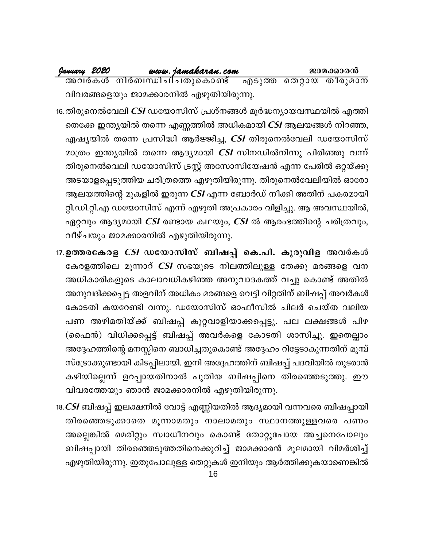| January 2020 |  | www.jamakaran.com                                       |  | ജാമക്കാരൻ |
|--------------|--|---------------------------------------------------------|--|-----------|
|              |  | <u>അവർകൾ നിർബന്ധിചിചതുകൊണ്ട് എടുത്ത തെറ്റായ തീരുമാന</u> |  |           |
|              |  | വിവരങ്ങനൈം ജാമക്കാരനിൽ എഴുതിയിരുന്നു.                   |  |           |

- 16.തിരുനെൽവേലി CSI ഡയോസിസ് പ്രശ്നങ്ങൾ മൂർദ്ധന്യായവസ്ഥയിൽ എത്തി തെക്കേ ഇന്ത്യയിൽ തന്നെ എണ്ണത്തിൽ അധികമായി CSI ആലയങ്ങൾ നിറഞ്ഞ, ഏഷ്യയിൽ തന്നെ പ്രസിദ്ധി ആർജ്ജിച്ച, CSI തിരുനെൽവേലി ഡയോസിസ് മാത്രം ഇന്ത്യയിൽ തന്നെ ആദ്യമായി CSI സിനഡിൽനിന്നു പിരിഞ്ഞു വന്ന് തിരുനെൽവെലി ഡയോസിസ് ട്രസ്റ്റ് അസോസിയേഷൻ എന്ന പേരിൽ ഒറ്റയ്ക്കു അടയാളപ്പെടുത്തിയ ചരിത്രത്തെ എഴുതിയിരുന്നു. തിരുനെൽവേലിയിൽ ഓരോ ആലയത്തിന്റെ മുകളിൽ ഇരുന്ന CSI എന്ന ബോർഡ് നീക്കി അതിന് പകരമായി റ്റി.ഡി.റ്റി.എ ഡയോസിസ് എന്ന് എഴുതി അപ്രകാരം വിളിച്ചു. ആ അവസ്ഥയിൽ, ഏറ്റവും ആദ്യമായി CSI രണ്ടായ കഥയും, CSI ൽ ആരംഭത്തിന്റെ ചരിത്രവും, വീഴ്ചയും ജാമക്കാരനിൽ എഴുതിയിരുന്നു.
- 17.ഉത്തരകേരള *CSI* ഡയോസിസ് ബിഷപ്പ് കെ.പി. കുരുവിള അവർകൾ കേരളത്തിലെ മൂന്നാറ് CSI സഭയുടെ നിലത്തിലുള്ള തേക്കു മരങ്ങളെ വന അധികാരികളുടെ കാലാവധികഴിഞ്ഞ അനുവാദകത്ത് വച്ചു കൊണ്ട് അതിൽ അനുവദിക്കപ്പെട്ട അളവിന് അധികം മരങ്ങളെ വെട്ടി വിറ്റതിന് ബിഷപ്പ് അവർകൾ കോടതി കയറേണ്ടി വന്നു. ഡയോസിസ് ഓഫീസിൽ ചിലർ ചെയ്ത വലിയ പണ അഴിമതിയ്ക്ക് ബിഷപ്പ് കുറ്റവാളിയാക്കപ്പെട്ടു. പല ലക്ഷങ്ങൾ പിഴ (ഫൈൻ) വിധിക്കപ്പെട്ട് ബിഷപ്പ് അവർകളെ കോടതി ശാസിച്ചു. ഇതെല്ലാം അദ്ദേഹത്തിന്റെ മനസ്സിനെ ബാധിച്ചതുകൊണ്ട് അദ്ദേഹം റിട്ടേടാകുന്നതിന് മുമ്പ് സ്ട്രോക്കുണ്ടായി കിടപ്പിലായി. ഇനി അദ്ദേഹത്തിന് ബിഷപ്പ് പദവിയിൽ തുടരാൻ കഴിയില്ലെന്ന് ഉറപ്പായതിനാൽ പുതിയ ബിഷപ്പിനെ തിരഞ്ഞെടുത്തു. ഈ വിവരത്തേയും ഞാൻ ജാമക്കാരനിൽ എഴുതിയിരുന്നു.
- 18.CSI ബിഷപ്പ് ഇലക്ഷനിൽ വോട്ട് എണ്ണിയതിൽ ആദ്യമായി വന്നവരെ ബിഷപ്പായി തിരഞ്ഞെടുക്കാതെ മൂന്നാമതും നാലാമതും സ്ഥാനത്തുള്ളവരെ പണം അല്ലെങ്കിൽ മെരിറ്റും സ്വാധീനവും കൊണ്ട് തോറ്റുപോയ അച്ചനെപോലും ബിഷപ്പായി തിരഞ്ഞെടുത്തതിനെക്കുറിച്ച് ജാമക്കാരൻ മൂലമായി വിമർശിച്ച് എഴുതിയിരുന്നു. ഇതുപോലുള്ള തെറ്റുകൾ ഇനിയും ആർത്തിക്കുകയാണെങ്കിൽ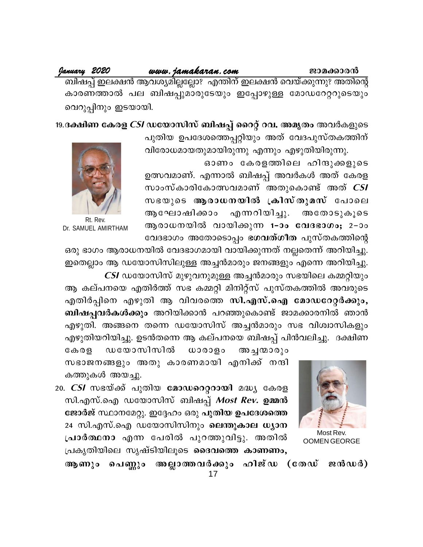#### www.jamakaran.com January 2020

ബിഷപ്പ് ഇലക്ഷൻ ആവശ്യമില്ലല്ലോ? എന്തിന് ഇലക്ഷൻ വെയ്ക്കുന്നു? അതിന്റെ കാരണത്താൽ പല ബിഷപ്പുമാരുടേയും ഇപ്പോഴുള്ള മോഡറേറ്ററുടെയും വെറുപ്പിനും ഇടയായി.

19.ദക്ഷിണ കേരള *CSI* ഡയോസിസ് ബിഷപ്പ് റൈറ്റ് റവ. അമൃതം അവർകളുടെ

പുതിയ ഉപദേശത്തെപ്പറ്റിയും അത് വേദപുസ്തകത്തിന് വിരോധമായതുമായിരുന്നു എന്നും എഴുതിയിരുന്നു.

ഓണം കേരളത്തിലെ ഹിന്ദുക്കളുടെ ഉത്സവമാണ്. എന്നാൽ ബിഷപ്പ് അവർകൾ അത് കേരള സാംസ്കാരികോത്സവമാണ് അതുകൊണ്ട് അത് *CSI* സഭയുടെ ആരാധനയിൽ ക്രിസ്തുമസ് പോലെ ആഘോഷിക്കാം എന്നറിയിച്ചു. അതോടുകൂടെ ആരാധനയിൽ വായിക്കുന്ന 1-ാം വേദഭാഗം; 2-ാം വേദഭാഗം അതോടൊപ്പം ഭഗവത്ഗീത പുസ്തകത്തിന്റെ



Rt. Rev. Dr. SAMUEL AMIRTHAM

ഒരു ഭാഗം ആരാധനയിൽ വേദഭാഗമായി വായിക്കുന്നത് നല്ലതെന്ന് അറിയിച്ചു. ഇതെല്ലാം ആ ഡയോസിസിലുള്ള അച്ചൻമാരും ജനങ്ങളും എന്നെ അറിയിച്ചു. CSI ഡയോസിസ് മുഴുവനുമുള്ള അച്ചൻമാരും സഭയിലെ കമ്മറ്റിയും

ആ കല്പനയെ എതിർത്ത് സഭ കമ്മറ്റി മിനിറ്റ്സ് പുസ്തകത്തിൽ അവരുടെ എതിർപ്പിനെ എഴുതി ആ വിവരത്തെ സി.എസ്.ഐ മോഡറേറ്റർക്കും, ബിഷപ്പവർകൾക്കും അറിയിക്കാൻ പറഞ്ഞുകൊണ്ട് ജാമക്കാരനിൽ ഞാൻ എഴുതി. അങ്ങനെ തന്നെ ഡയോസിസ് അച്ചൻമാരും സഭ വിശ്വാസികളും എഴുതിയറിയിച്ചു. ഉടൻതന്നെ ആ കല്പനയെ ബിഷപ്പ് പിൻവലിച്ചു. ദക്ഷിണ



Most Rev. **OOMEN GEORGE** 

ഡയോസിസിൽ  $\omega$ ooogo  $C_1 \oplus C_2 \oplus C_3$ അച്ചന്മാരും സഭാജനങ്ങളും അതു കാരണമായി എനിക്ക് നന്ദി കത്തുകൾ അയച്ചു.

20. CSI സഭയ്ക്ക് പുതിയ മോഡറെറ്ററായി മദ്ധ്യ കേരള സി.എസ്.ഐ ഡയോസിസ് ബിഷപ്പ് *Most Rev.* ഉമ്മൻ ജോർജ് സ്ഥാനമേറ്റു. ഇദ്ദേഹം ഒരു പുതിയ ഉപദേശത്തെ 24 സി.എസ്.ഐ ഡയോസിസിനും ലെന്തുകാല ധ്യാന പ്രാർത്ഥനാ എന്ന പേരിൽ പുറത്തുവിട്ടു. അതിൽ പ്രകൃതിയിലെ സൃഷ്ടിയിലൂടെ ദൈവത്തെ കാണണം,

ആണും പെണ്ണും അല്ലാത്തവർക്കും ഹിജ്ഡ (തേഡ് ജൻഡർ)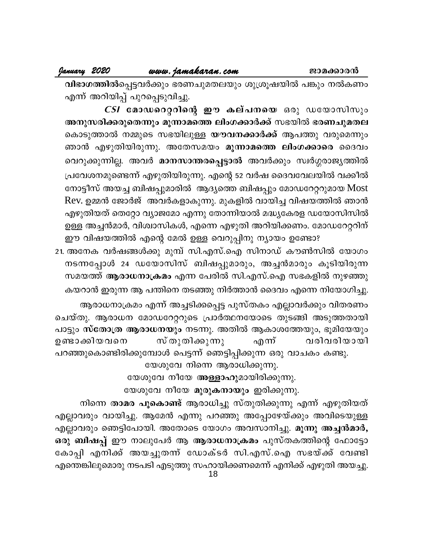#### <u>www.jamakaran.com</u>

January 2020

വിഭാഗത്തിൽപ്പെട്ടവർക്കും ഭരണചുമതലയും ശുശ്രൂഷയിൽ പങ്കും നൽകണം എന്ന് അറിയിപ്പ് പുറപ്പെടുവിച്ചു.

 $CSI$  മോഡറെറ്ററിന്റെ ഈ കല്പനയെ ഒരു ഡയോസിസും അനുസരിക്കരുതെന്നും മൂന്നാമത്തെ ലിംഗക്കാർക്ക് സഭയിൽ ഭരണചുമതല കൊടുത്താൽ നമ്മുടെ സഭയിലുള്ള **യൗവനക്കാർക്ക്** ആപത്തു വരുമെന്നും ഞാൻ എഴുതിയിരുന്നു. അതേസമയം മൂന്നാമത്തെ ലിംഗക്കാരെ ദൈവം വെറുക്കുന്നില്ല. അവർ മാനസാന്തരപ്പെട്ടാൽ അവർക്കും സ്വർഗ്ഗരാജ്യത്തിൽ പ്രവേശനമുണ്ടെന്ന് എഴുതിയിരുന്നു. എന്റെ 52 വർഷ ദൈവവേലയിൽ വക്കീൽ നോട്ടീസ് അയച്ച ബിഷപ്പുമാരിൽ ആദ്യത്തെ ബിഷപ്പും മോഡറേറ്ററുമായ Most Rev. ഉമ്മൻ ജോർജ് അവർകളാകുന്നു. മുകളിൽ വായിച്ച വിഷയത്തിൽ ഞാൻ എഴുതിയത് തെറ്റോ വ്യാജമോ എന്നു തോന്നിയാൽ മദ്ധ്യകേരള ഡയോസിസിൽ ഉള്ള അച്ചൻമാർ, വിശ്വാസികൾ, എന്നെ എഴുതി അറിയിക്കണം. മോഡറേറ്ററിന് ഈ വിഷയത്തിൽ എന്റെ മേൽ ഉള്ള വെറുപ്പിനു ന്യായം ഉണ്ടോ?

21. അനേക വർഷങ്ങൾക്കു മുമ്പ് സി.എസ്.ഐ സിനാഡ് കൗൺസിൽ യോഗം നടന്നപ്പോൾ 24 ഡയോസിസ് ബിഷപ്പുമാരും, അച്ചൻമാരും കൂടിയിരുന്ന സമയത്ത് ആരാധനാക്രമം എന്ന പേരിൽ സി.എസ്.ഐ സഭകളിൽ നുഴഞ്ഞു കയറാൻ ഇരുന്ന ആ പന്തിനെ തടഞ്ഞു നിർത്താൻ ദൈവം എന്നെ നിയോഗിച്ചു.

ആരാധനാക്രമം എന്ന് അച്ചടിക്കപ്പെട്ട പുസ്തകം എല്ലാവർക്കും വിതരണം ചെയ്തു. ആരാധന മോഡറേറ്ററുടെ പ്രാർത്ഥനയോടെ തുടങ്ങി അടുത്തതായി പാട്ടും സ്തോത്ര ആരാധനയും നടന്നു. അതിൽ ആകാശത്തേയും, ഭൂമിയേയും സ് തുതിക്കുന്നു എന്ന് വരിവരിയായി ഉണ്ടാക്കിയവനെ പറഞ്ഞുകൊണ്ടിരിക്കുമ്പോൾ പെട്ടന്ന് ഞെട്ടിപ്പിക്കുന്ന ഒരു വാചകം കണ്ടു.

യേശുവേ നിന്നെ ആരാധിക്കുന്നു.

യേശുവേ നീയേ അള്ളാഹുമായിരിക്കുന്നു.

യേശുവേ നീയേ മുരുകനായും ഇരിക്കുന്നു.

നിന്നെ താമര പൂകൊണ്ട് ആരാധിച്ചു സ്തുതിക്കുന്നു എന്ന് എഴുതിയത് എല്ലാവരും വായിച്ചു. ആമേൻ എന്നു പറഞ്ഞു അപ്പോഴേയ്ക്കും അവിടെയുള്ള എല്ലാവരും ഞെട്ടിപോയി. അതോടെ യോഗം അവസാനിച്ചു. മൂന്നു അച്ചൻമാർ, ഒരു ബിഷപ്പ് ഈ നാലുപേർ ആ ആരാധനാക്രമം പുസ്തകത്തിന്റെ ഫോട്ടോ കോപ്പി എനിക്ക് അയച്ചുതന്ന് ഡോക്ടർ സി.എസ്.ഐ സഭയ്ക്ക് വേണ്ടി എന്തെങ്കിലുമൊരു നടപടി എടുത്തു സഹായിക്കണമെന്ന് എനിക്ക് എഴുതി അയച്ചു.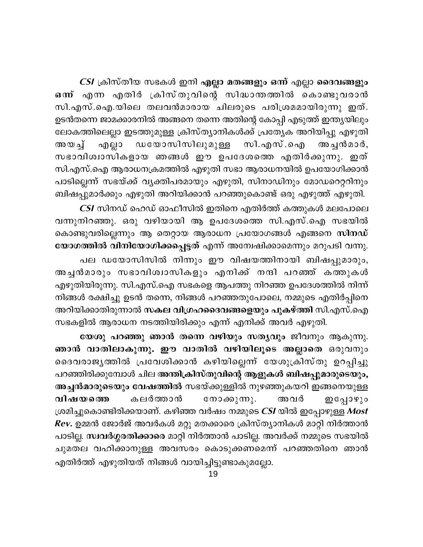*CSI* ക്രിസ്തീയ സഭകൾ ഇനി എല്ലാ മതങ്ങളും ഒന്ന് എല്ലാ ദൈവങ്ങളും ഒന്ന് എന്ന എതിർ ക്രിസ്തുവിന്റെ സിദ്ധാന്തത്തിൽ കൊണ്ടുവരാൻ സി.എസ്.ഐ.യിലെ തലവൻമാരായ ചിലരുടെ പരിശ്രമമായിരുന്നു ഇത്. ഉടൻതന്നെ ജാമക്കാരനിൽ അങ്ങനെ തന്നെ അതിന്റെ കോപ്പി എടുത്ത് ഇന്ത്യയിലും ലോകത്തിലെല്ലാ ഇടത്തുമുള്ള ക്രിസ്ത്യാനികൾക്ക് പ്രത്യേക അറിയിപ്പു എഴുതി എല്ലാ ഡയോസിസിലുമുള്ള സി.എസ്.ഐ അയച്ച് അച്ചൻമാർ, സഭാവിശ്വാസികളായ ഞങ്ങൾ ഈ ഉപദേശത്തെ എതിർക്കുന്നു. ഇത് സി.എസ്.ഐ ആരാധനക്രമത്തിൽ എഴുതി സഭാ ആരാധനയിൽ ഉപയോഗിക്കാൻ പാടില്ലെന്ന് സഭയ്ക്ക് വ്യക്തിപരമായും എഴുതി, സിനാഡിനും മോഡറെറ്ററിനും ബിഷപ്പുമാർക്കും എഴുതി അറിയിക്കാൻ പറഞ്ഞുകൊണ്ട് ഒരു എഴുത്ത് എഴുതി.

 $CSI$  സിനഡ് ഹെഡ് ഓഫീസിൽ ഇതിനെ എതിർത്ത് കത്തുകൾ മലപോലെ വന്നുനിറഞ്ഞു. ഒരു വഴിയായി ആ ഉപദേശത്തെ സി.എസ്.ഐ സഭയിൽ കൊണ്ടുവരില്ലെന്നും ആ തെറ്റായ ആരാധന പ്രയോഗങ്ങൾ എങ്ങനെ സിനഡ് യോഗത്തിൽ വിനിയോഗിക്കപ്പെട്ടത് എന്ന് അന്വേഷിക്കാമെന്നും മറുപടി വന്നു.

പല ഡയോസിസിൽ നിന്നും ഈ വിഷയത്തിനായി ബിഷപ്പുമാരും, അച്ചൻമാരും സഭാവിശ്വാസികളും എനിക്ക് നന്ദി പറഞ്ഞ് കത്തുകൾ എഴുതിയിരുന്നു. സി.എസ്.ഐ സഭകളെ ആപത്തു നിറഞ്ഞ ഉപദേശത്തിൽ നിന്ന് നിങ്ങൾ രക്ഷിച്ചു ഉടൻ തന്നെ, നിങ്ങൾ പറഞ്ഞതുപോലെ, നമ്മുടെ എതിർപ്പിനെ അറിയിക്കാതിരുന്നാൽ സകല വിഗ്രഹദൈവങ്ങളെയും പുകഴ്ത്തി സി.എസ്.ഐ സഭകളിൽ ആരാധന നടത്തിയിരിക്കും എന്ന് എനിക്ക് അവർ എഴുതി.

യേശു പറഞ്ഞു ഞാൻ തന്നെ വഴിയും സതൃവും ജീവനും ആകുന്നു. ഞാൻ വാതിലാകുന്നു. ഈ വാതിൽ വഴിയിലൂടെ അല്ലാതെ ഒരുവനും ദൈവരാജ്യത്തിൽ പ്രവേശിക്കാൻ കഴിയില്ലെന്ന് യേശുക്രിസ്തു ഉറപ്പിച്ചു പറഞ്ഞിരിക്കുമ്പോൾ ചില അന്തിക്രിസ്തുവിന്റെ ആളുകൾ ബിഷപ്പുമാരുടെയും, അച്ചൻമാരുടെയും വേഷത്തിൽ സഭയ്ക്കുള്ളിൽ നുഴഞ്ഞുകയറി ഇങ്ങനെയുള്ള കലർത്താൻ വിഷയത്തെ നോക്കുന്നു. അവർ ഇപ്പോഴും ശ്രമിച്ചുകൊണ്ടിരിക്കയാണ്. കഴിഞ്ഞ വർഷം നമ്മുടെ CSI യിൽ ഇപ്പോഴുള്ള Most Rev. ഉമ്മൻ ജോർജ് അവർകൾ മറ്റു മതക്കാരെ ക്രിസ്ത്യാനികൾ മാറ്റി നിർത്താൻ പാടില്ല. സ്ഥിർഗ്ഗരതിക്കാരെ മാറ്റി നിർത്താൻ പാടില്ല. അവർക്ക് നമ്മുടെ സഭയിൽ ചുമതല വഹിക്കാനുള്ള അവസരം കൊടുക്കണമെന്ന് പറഞ്ഞതിനെ ഞാൻ എതിർത്ത് എഴുതിയത് നിങ്ങൾ വായിച്ചിട്ടുണ്ടാകുമല്ലോ.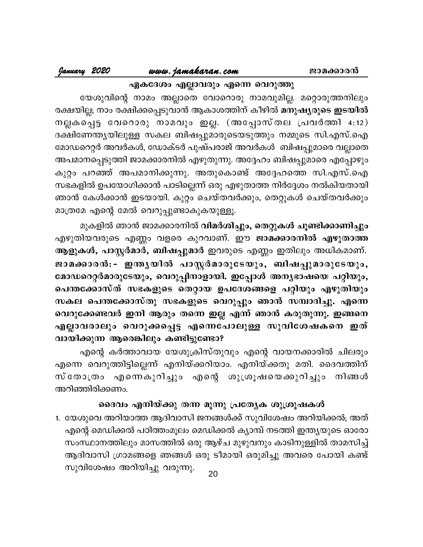#### <u>www.jamakaran.com</u>

Yanuary 2020

#### ഏകദേശം എല്ലാവരും എന്നെ വെറുത്തു

യേശുവിന്റെ നാമം അല്ലാതെ വോറൊരു നാമവുമില്ല. മറ്റൊരുത്തനിലും രക്ഷയില്ല; നാം രക്ഷിക്കപ്പെടുവാൻ ആകാശത്തിന് കീഴിൽ മനുഷ്യരുടെ ഇടയിൽ നല്ലകപ്പെട്ട വേറൊരു നാമവും ഇല്ല. (അപ്പോസ്തല പ്രവർത്തി 4:12) ദക്ഷിണേന്ത്യയിലുള്ള സകല ബിഷപ്പുമാരുടെയടുത്തും നമ്മുടെ സി.എസ്.ഐ മോഡറെറ്റർ അവർകൾ, ഡോക്ടർ പുഷ്പരാജ് അവർകൾ ബിഷപ്പുമാരെ വല്ലാതെ അപമാനപ്പെടുത്തി ജാമക്കാരനിൽ എഴുതുന്നു. അദ്ദേഹം ബിഷപ്പുമാരെ എപ്പോഴും കുറ്റം പറഞ്ഞ് അപമാനിക്കുന്നു. അതുകൊണ്ട് അദ്ദേഹത്തെ സി.എസ്.ഐ സഭകളിൽ ഉപയോഗിക്കാൻ പാടില്ലെന്ന് ഒരു എഴുതാത്ത നിർദ്ദേശം നൽകിയതായി ഞാൻ കേൾക്കാൻ ഇടയായി. കുറ്റം ചെയ്തവർക്കും, തെറ്റുകൾ ചെയ്തവർക്കും മാത്രമേ എന്റെ മേൽ വെറുപ്പുണ്ടാകുകയുള്ളൂ.

മുകളിൽ ഞാൻ ജാമക്കാരനിൽ വിമർശിച്ചും, തെറ്റുകൾ ചൂണ്ടിക്കാണിച്ചും എഴുതിയവരുടെ എണ്ണം വളരെ കുറവാണ്. ഈ ജാമക്കാരനിൽ എഴുതാത്ത ആളുകൾ, പാസ്റ്റർമാർ, ബിഷപ്പുമാർ ഇവരുടെ എണ്ണം ഇതിലും അധികമാണ്. ജാമക്കാരൻ:- ഇന്ത്യയിൽ പാസ്റ്റർമാരുടേയും, ബിഷപ്പുമാരുടേയും, മോഡറെറ്റർമാരുടേയും, വെറുപ്പിനാളായി. ഇപ്പോൾ അന്യഭാഷയെ പറ്റിയും, പെന്തക്കോസ്ത് സഭകളുടെ തെറ്റായ ഉപദേശങ്ങളെ പറ്റിയും എഴുതിയും സകല പെന്തക്കോസ്തു സഭകളുടെ വെറുപ്പും ഞാൻ സമ്പാദിച്ചു. എന്നെ വെറുക്കേണ്ടവർ ഇനി ആരും തന്നെ ഇല്ല എന്ന് ഞാൻ കരുതുന്നു. ഇങ്ങനെ എല്ലാവരാലും വെറുക്കപ്പെട്ട എന്നെപോലുള്ള സുവിശേഷകനെ ഇത് വായിക്കുന്ന ആരെങ്കിലും കണ്ടിട്ടുണ്ടോ?

എന്റെ കർത്താവായ യേശുക്രിസ്തുവും എന്റെ വായനക്കാരിൽ ചിലരും എന്നെ വെറുത്തിട്ടില്ലെന്ന് എനിയ്ക്കറിയാം. എനിയ്ക്കതു മതി. ദൈവത്തിന് സ്തോത്രം എന്നെകുറിച്ചും എന്റെ ശുശ്രൂഷയെക്കുറിച്ചും നിങ്ങൾ അറിഞ്ഞിരിക്കണം.

#### ദൈവം എനിയ്ക്കു തന്ന മൂന്നു പ്രത്യേക ശുശ്രൂഷകൾ

1. യേശുവെ അറിയാത്ത ആദിവാസി ജനങ്ങൾക്ക് സുവിശേഷം അറിയിക്കൽ; അത് എന്റെ മെഡിക്കൽ പഠിത്തംമൂലം മെഡിക്കൽ ക്യാമ്പ് നടത്തി ഇന്ത്യയുടെ ഓരോ സംസ്ഥാനത്തിലും മാസത്തിൽ ഒരു ആഴ്ച മുഴുവനും കാടിനുള്ളിൽ താമസിച്ച് ആദിവാസി ഗ്രാമങ്ങളെ ഞങ്ങൾ ഒരു ടീമായി ഒരുമിച്ചു അവരെ പോയി കണ്ട് സുവിശേഷം അറിയിച്ചു വരുന്നു.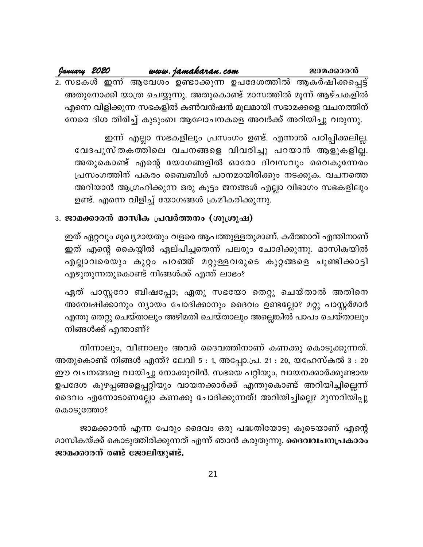| January 2020 |  | www.jamakaran.com | ജാമക്കാരൻ                                                      |
|--------------|--|-------------------|----------------------------------------------------------------|
|              |  |                   | 2. സഭകൾ ഇന്ന് ആവേശം ഉണ്ടാക്കുന്ന ഉപദേശത്തിൽ ആകർഷിക്കപ്പെട്ട്   |
|              |  |                   | അതുനോക്കി യാത്ര ചെയ്യുന്നു. അതുകൊണ്ട് മാസത്തിൽ മൂന്ന് ആഴ്ചകളിൽ |
|              |  |                   | എന്നെ വിളിക്കുന്ന സഭകളിൽ കൺവൻഷൻ മൂലമായി സഭാമക്കളെ വചനത്തിന്    |
|              |  |                   | നേരെ ദിശ തിരിച്ച് കുടുംബ ആലോചനകളെ അവർക്ക് അറിയിച്ചു വരുന്നു.   |

ഇന്ന് എല്ലാ സഭകളിലും പ്രസംഗം ഉണ്ട്. എന്നാൽ പഠിപ്പിക്കലില്ല. വേദപുസ്തകത്തിലെ വചനങ്ങളെ വിവരിച്ചു പറയാൻ ആളുകളില്ല. അതുകൊണ്ട് എന്റെ യോഗങ്ങളിൽ ഓരോ ദിവസവും വൈകുന്നേരം പ്രസംഗത്തിന് പകരം ബൈബിൾ പഠനമായിരിക്കും നടക്കുക. വചനത്തെ അറിയാൻ ആഗ്രഹിക്കുന്ന ഒരു കൂട്ടം ജനങ്ങൾ എല്ലാ വിഭാഗം സഭകളിലും ഉണ്ട്. എന്നെ വിളിച്ച് യോഗങ്ങൾ ക്രമീകരിക്കുന്നു.

#### 3. ജാമക്കാരൻ മാസിക പ്രവർത്തനം (ശുശ്രൂഷ)

ഇത് ഏറ്റവും മുഖ്യമായതും വളരെ ആപത്തുള്ളതുമാണ്. കർത്താവ് എന്തിനാണ് ഇത് എന്റെ കൈയ്യിൽ ഏല്പിച്ചതെന്ന് പലരും ചോദിക്കുന്നു. മാസികയിൽ എല്ലാവരെയും കുറ്റം പറഞ്ഞ് മറ്റുള്ളവരുടെ കുറ്റങ്ങളെ ചൂണ്ടിക്കാട്ടി എഴുതുന്നതുകൊണ്ട് നിങ്ങൾക്ക് എന്ത് ലാഭം?

ഏത് പാസ്റ്ററോ ബിഷപ്പോ; ഏതു സഭയോ തെറ്റു ചെയ്താൽ അതിനെ അമ്പേഷിക്കാനും ന്യായം ചോദിക്കാനും ദൈവം ഉണ്ടല്ലോ? മറ്റു പാസ്റ്റർമാർ എന്തു തെറ്റു ചെയ്താലും അഴിമതി ചെയ്താലും അല്ലെങ്കിൽ പാപം ചെയ്താലും നിങ്ങൾക്ക് എന്താണ്?

നിന്നാലും, വീണാലും അവർ ദൈവത്തിനാണ് കണക്കു കൊടുക്കുന്നത്. അതുകൊണ്ട് നിങ്ങൾ എന്ത്? ലേവി 5 : 1, അപ്പോ.പ്ര. 21 : 20, യഹേസ്കൽ 3 : 20 ഈ വചനങ്ങളെ വായിച്ചു നോക്കുവിൻ. സഭയെ പറ്റിയും, വായനക്കാർക്കുണ്ടായ ഉപദേശ കുഴപ്പങ്ങളെപ്പറ്റിയും വായനക്കാർക്ക് എന്തുകൊണ്ട് അറിയിച്ചില്ലെന്ന് ദൈവം എന്നോടാണല്ലോ കണക്കു ചോദിക്കുന്നത്! അറിയിച്ചില്ലെ? മുന്നറിയിപ്പു കൊടുത്തോ?

ജാമക്കാരൻ എന്ന പേരും ദൈവം ഒരു പദ്ധതിയോടു കൂടെയാണ് എന്റെ മാസികയ്ക്ക് കൊടുത്തിരിക്കുന്നത് എന്ന് ഞാൻ കരുതുന്നു. **ദൈവവചനപ്രകാരം** ജാമക്കാരന് രണ്ട് ജോലിയുണ്ട്.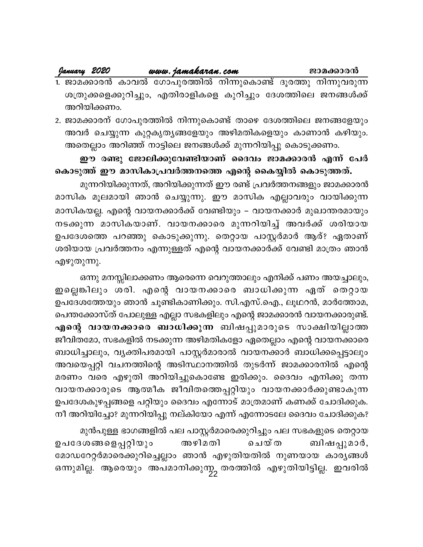#### January 2020 www.jamakaran.com

ജാമക്കാരൻ

1. ജാമക്കാരൻ കാവൽ ഗോപുരത്തിൽ നിന്നുകൊണ്ട് ദൂരത്തു നിന്നുവരുന്ന ശത്രുക്കളെക്കുറിച്ചും, എതിരാളികളെ കുറിച്ചും ദേശത്തിലെ ജനങ്ങൾക്ക് അറിയിക്കണം.

2. ജാമക്കാരന് ഗോപുരത്തിൽ നിന്നുകൊണ്ട് താഴെ ദേശത്തിലെ ജനങ്ങളേയും അവർ ചെയ്യുന്ന കുറ്റകൃത്യങ്ങളേയും അഴിമതികളെയും കാണാൻ കഴിയും. അതെല്ലാം അറിഞ്ഞ് നാട്ടിലെ ജനങ്ങൾക്ക് മുന്നറിയിപ്പു കൊടുക്കണം.

ഈ രണ്ടു ജോലിക്കുവേണ്ടിയാണ് ദൈവം ജാമക്കാരൻ എന്ന് പേർ കൊടുത്ത് ഈ മാസികാപ്രവർത്തനത്തെ എന്റെ കൈയ്യിൽ കൊടുത്തത്.

മുന്നറിയിക്കുന്നത്, അറിയിക്കുന്നത് ഈ രണ്ട് പ്രവർത്തനങ്ങളും ജാമക്കാരൻ മാസിക മൂലമായി ഞാൻ ചെയ്യുന്നു. ഈ മാസിക എല്ലാവരും വായിക്കുന്ന മാസികയല്ല. എന്റെ വായനക്കാർക്ക് വേണ്ടിയും – വായനക്കാർ മുഖാന്തരമായും നടക്കുന്ന മാസികയാണ്. വായനക്കാരെ മുന്നറിയിച്ച് അവർക്ക് ശരിയായ ഉപദേശത്തെ പറഞ്ഞു കൊടുക്കുന്നു. തെറ്റായ പാസ്റ്റർമാർ ആര്? ഏതാണ് ശരിയായ പ്രവർത്തനം എന്നുള്ളത് എന്റെ വായനക്കാർക്ക് വേണ്ടി മാത്രം ഞാൻ എഴുതുന്നു.

ഒന്നു മനസ്സിലാക്കണം ആരെന്നെ വെറുത്താലും എനിക്ക് പണം അയച്ചാലും, ഇല്ലെങ്കിലും ശരി. എന്റെ വായനക്കാരെ ബാധിക്കുന്ന ഏത് തെറ്റായ ഉപദേശത്തേയും ഞാൻ ചൂണ്ടികാണിക്കും. സി.എസ്.ഐ., ലൂഥറൻ, മാർത്തോമ, പെന്തക്കോസ്ത് പോലുള്ള എല്ലാ സഭകളിലും എന്റെ ജാമക്കാരൻ വായനക്കാരുണ്ട്. എന്റെ വായനക്കാരെ ബാധിക്കുന്ന ബിഷപ്പുമാരുടെ സാക്ഷിയില്ലാത്ത ജീവിതമോ, സഭകളിൽ നടക്കുന്ന അഴിമതികളോ ഏതെല്ലാം എന്റെ വായനക്കാരെ ബാധിച്ചാലും, വ്യക്തിപരമായി പാസ്റ്റർമാരാൽ വായനക്കാർ ബാധിക്കപ്പെട്ടാലും അവയെപ്പറ്റി വചനത്തിന്റെ അടിസ്ഥാനത്തിൽ തുടർന്ന് ജാമക്കാരനിൽ എന്റെ മരണം വരെ എഴുതി അറിയിച്ചുകൊണ്ടേ ഇരിക്കും. ദൈവം എനിക്കു തന്ന വായനക്കാരുടെ ആത്മീക ജീവിതത്തെപ്പറ്റിയും വായനക്കാർക്കുണ്ടാകുന്ന ഉപദേശകുഴപ്പങ്ങളെ പറ്റിയും ദൈവം എന്നോട് മാത്രമാണ് കണക്ക് ചോദിക്കുക. നീ അറിയിച്ചോ? മുന്നറിയിപ്പു നല്കിയോ എന്ന് എന്നോടലേ ദൈവം ചോദിക്കുക?

മുൻപുള്ള ഭാഗങ്ങളിൽ പല പാസ്റ്റർമാരെക്കുറിച്ചും പല സഭകളുടെ തെറ്റായ ഉപദേശങ്ങളെപ്പറ്റിയും അഴിമതി ചെയ്ത ബിഷപ്പുമാർ, മോഡറേറ്റർമാരെക്കുറിച്ചെല്ലാം ഞാൻ എഴുതിയതിൽ നുണയായ കാര്യങ്ങൾ ഒന്നുമില്ല. ആരെയും അപമാനിക്കുന്നു തരത്തിൽ എഴുതിയിട്ടില്ല. ഇവരിൽ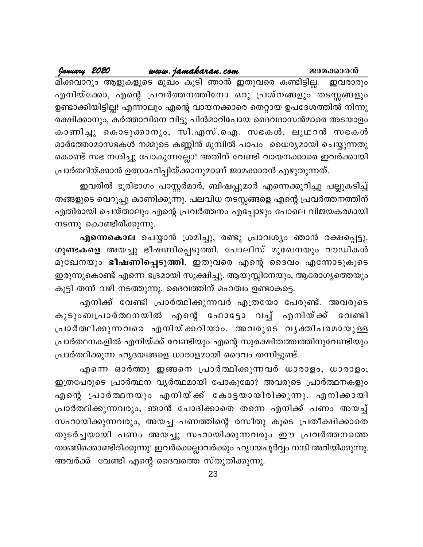January 2020 www.jamakaran.com ജാമക്കാരൻ മിക്കവാറും ആളുകളുടെ മുഖം കൂടി ഞാൻ ഇതുവരെ കണ്ടിട്ടില്ല. ഇവരാരും എനിയ്ക്കോ, എന്റെ പ്രവർത്തനത്തിനോ ഒരു പ്രശ്നങ്ങളും തടസ്സങ്ങളും ഉണ്ടാക്കിയിട്ടില്ല! എന്നാലും എന്റെ വായനക്കാരെ തെറ്റായ ഉപദേശത്തിൽ നിന്നു രക്ഷിക്കാനും, കർത്താവിനെ വിട്ടു പിൻമാറിപോയ ദൈവദാസൻമാരെ അടയാളം കാണിച്ചു കൊടുക്കാനും, സി.എസ്.ഐ. സഭകൾ, ലൂഥറൻ സഭകൾ മാർത്തോമാസഭകൾ നമ്മുടെ കണ്ണിൻ മുമ്പിൽ പാപം ധൈര്യമായി ചെയ്യുന്നതു കൊണ്ട് സഭ നശിച്ചു പോകുന്നല്ലോ! അതിന് വേണ്ടി വായനക്കാരെ ഇവർക്കായി പ്രാർത്ഥിയ്ക്കാൻ ഉത്സാഹിപ്പിയ്ക്കാനുമാണ് ജാമക്കാരൻ എഴുതുന്നത്.

ഇവരിൽ ഭൂരിഭാഗം പാസ്റ്റർമാർ, ബിഷപ്പുമാർ എന്നെക്കുറിച്ചു പല്ലുകടിച്ച് തങ്ങളുടെ വെറുപ്പു കാണിക്കുന്നു. പലവിധ തടസ്സങ്ങളെ എന്റെ പ്രവർത്തനത്തിന് എതിരായി ചെയ്താലും എന്റെ പ്രവർത്തനം എപ്പോഴും പോലെ വിജയകരമായി നടന്നു കൊണ്ടിരിക്കുന്നു.

എന്നെകൊല ചെയ്യാൻ ശ്രമിച്ചു, രണ്ടു പ്രാവശ്യം ഞാൻ രക്ഷപ്പെട്ടു. ശു**ണ്ടകളെ** അയച്ചു ഭീഷണിപ്പെടുത്തി. പോലീസ് മുഖേനയും റൗഡികൾ മുഖേനയും ഭീഷണിപ്പെടുത്തി. ഇതുവരെ എന്റെ ദൈവം എന്നോടുകൂടെ ഇരുന്നുകൊണ്ട് എന്നെ ഭദ്രമായി സൂക്ഷിച്ചു. ആയുസ്സിനേയും, ആരോഗ്യത്തെയും കൂട്ടി തന്ന് വഴി നടത്തുന്നു. ദൈവത്തിന് മഹത്വം ഉണ്ടാകട്ടെ.

എനിക്ക് വേണ്ടി പ്രാർത്ഥിക്കുന്നവർ എത്രയോ പേരുണ്ട്. അവരുടെ കുടുംബപ്രാർത്ഥനയിൽ എന്റെ ഫോട്ടോ വച്ച് എനിയ്ക്ക് വേണ്ടി പ്രാർത്ഥിക്കുന്നവരെ എനിയ്ക്കറിയാം. അവരുടെ വൃക്തിപരമായുള്ള പ്രാർത്ഥനകളിൽ എനിയ്ക്ക് വേണ്ടിയും എന്റെ സുരക്ഷിതത്ത്വത്തിനുവേണ്ടിയും പ്രാർത്ഥിക്കുന്ന ഹൃദയങ്ങളെ ധാരാളമായി ദൈവം തന്നിട്ടുണ്ട്.

എന്നെ ഓർത്തു ഇങ്ങനെ പ്രാർത്ഥിക്കുന്നവർ ധാരാളം, ധാരാളം; ഇത്രപേരുടെ പ്രാർത്ഥന വൃർത്ഥമായി പോകുമോ? അവരുടെ പ്രാർത്ഥനകളും എന്റെ പ്രാർത്ഥനയും എനിയ്ക്ക് കോട്ടയായിരിക്കുന്നു. എനിക്കായി പ്രാർത്ഥിക്കുന്നവരും, ഞാൻ ചോദിക്കാതെ തന്നെ എനിക്ക് പണം അയച്ച് സഹായിക്കുന്നവരും, അയച്ച പണത്തിന്റെ രസീതു കൂടെ പ്രതീക്ഷിക്കാതെ തുടർച്ചയായി പണം അയച്ചു സഹായിക്കുന്നവരും ഈ പ്രവർത്തനത്തെ താങ്ങിക്കൊണ്ടിരിക്കുന്നു! ഇവർക്കെല്ലാവർക്കും ഹൃദയപൂർവ്വം നന്ദി അറിയിക്കുന്നു. അവർക്ക് വേണ്ടി എന്റെ ദൈവത്തെ സ്തുതിക്കുന്നു.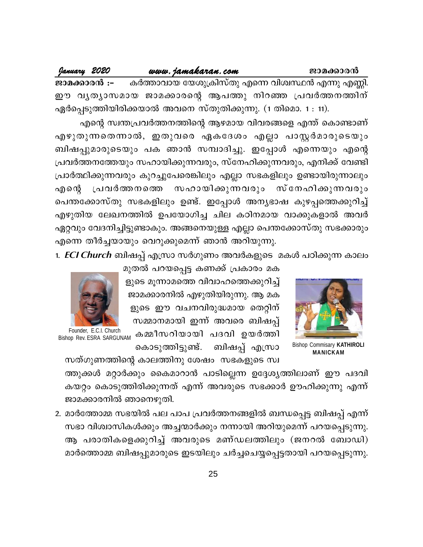#### www.jamakaran.com

January 2020

കർത്താവായ യേശുക്രിസ്തു എന്നെ വിശ്വസ്ഥൻ എന്നു എണ്ണി. ജാമക്കാരൻ :-ഈ വൃത്യാസമായ ജാമക്കാരന്റെ ആപത്തു നിറഞ്ഞ പ്രവർത്തനത്തിന് ഏർപ്പെടുത്തിയിരിക്കയാൽ അവനെ സ്തുതിക്കുന്നു. (1 തിമൊ. 1 : 11).

എന്റെ സ്വന്തപ്രവർത്തനത്തിന്റെ ആഴമായ വിവരങ്ങളെ എന്ത് കൊണ്ടാണ് എഴുതുന്നതെന്നാൽ, ഇതുവരെ ഏകദേശം എല്ലാ പാസ്റ്റർമാരുടെയും ബിഷപ്പുമാരുടെയും പക ഞാൻ സമ്പാദിച്ചു. ഇപ്പോൾ എന്നെയും എന്റെ പ്രവർത്തനത്തേയും സഹായിക്കുന്നവരും, സ്നേഹിക്കുന്നവരും, എനിക്ക് വേണ്ടി പ്രാർത്ഥിക്കുന്നവരും കുറച്ചുപേരെങ്കിലും എല്ലാ സഭകളിലും ഉണ്ടായിരുന്നാലും പ്രവർത്തനത്തെ സഹായിക്കുന്നവരും സ്നേഹിക്കുന്നവരും എന്റെ പെന്തക്കോസ്തു സഭകളിലും ഉണ്ട്. ഇപ്പോൾ അന്യഭാഷ കുഴപ്പത്തെക്കുറിച്ച് എഴുതിയ ലേഖനത്തിൽ ഉപയോഗിച്ച ചില കഠിനമായ വാക്കുകളാൽ അവർ ഏറ്റവും വേദനിച്ചിട്ടുണ്ടാകും. അങ്ങനെയുള്ള എല്ലാ പെന്തക്കോസ്തു സഭക്കാരും എന്നെ തീർച്ചയായും വെറുക്കുമെന്ന് ഞാൻ അറിയുന്നു.

1. *ECI Church* ബിഷപ്പ് എസ്രാ സർഗുണം അവർകളുടെ മകൾ പഠിക്കുന്ന കാലം



**Bishop Commisary KATHIROLI MANICKAM** 

മുതൽ പറയപ്പെട്ട കണക്ക് പ്രകാരം മക ളുടെ മൂന്നാമത്തെ വിവാഹത്തെക്കുറിച്ച് ജാമക്കാരനിൽ എഴുതിയിരുന്നു. ആ മക ളുടെ ഈ വചനവിരുദ്ധമായ തെറ്റിന് സമ്മാനമായി ഇന്ന് അവരെ ബിഷപ്പ്



Fourilatel, E.O.I. Unufch<br>Bishop Rev. ESRA SARGUNAM கூ മമീസറിയായി പദവി ഉയർത്തി കൊടുത്തിട്ടുണ്ട്. ബിഷപ്പ് എസ്രാ

സത്ഗുണത്തിന്റെ കാലത്തിനു ശേഷം സഭകളുടെ സ്വ ത്തുക്കൾ മറ്റാർക്കും കൈമാറാൻ പാടില്ലെന്ന ഉദ്ദേശ്യത്തിലാണ് ഈ പദവി കയറ്റം കൊടുത്തിരിക്കുന്നത് എന്ന് അവരുടെ സഭക്കാർ ഊഹിക്കുന്നു എന്ന് ജാമക്കാരനിൽ ഞാനെഴുതി.

2. മാർത്തോമ്മ സഭയിൽ പല പാപ പ്രവർത്തനങ്ങളിൽ ബന്ധപ്പെട്ട ബിഷപ്പ് എന്ന് സഭാ വിശ്വാസികൾക്കും അച്ചന്മാർക്കും നന്നായി അറിയുമെന്ന് പറയപ്പെടുന്നു. ആ പരാതികളെക്കുറിച്ച് അവരുടെ മണ്ഡലത്തിലും (ജനറൽ ബോഡി) മാർത്തൊമ്മ ബിഷപ്പുമാരുടെ ഇടയിലും ചർച്ചചെയ്യപ്പെട്ടതായി പറയപ്പെടുന്നു.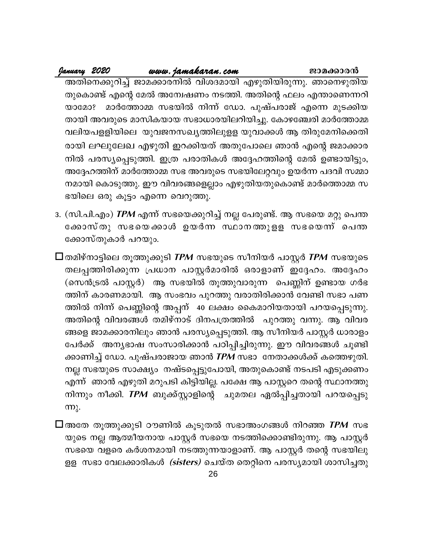#### January 2020 www.jamakaran.com

അതിനെക്കുറിച്ച് ജാമക്കാരനിൽ വിശദമായി എഴുതിയിരുന്നു. ഞാനെഴുതിയ തുകൊണ്ട് എന്റെ മേൽ അന്വേഷണം നടത്തി. അതിന്റെ ഫലം എന്താണെന്നറി മാർത്തോമ്മ സഭയിൽ നിന്ന് ഡോ. പുഷ്പരാജ് എന്നെ മുടക്കിയ  $\omega$ തായി അവരുടെ മാസികയായ സഭാധാരയിലറിയിച്ചു. കോഴഞ്ചേരി മാർത്തോമ്മ വലിയപളളിയിലെ യുവജനസഖ്യത്തിലുളള യുവാക്കൾ ആ തിരുമേനിക്കെതി രായി ലഘുലേഖ എഴുതി ഇറക്കിയത് അതുപോലെ ഞാൻ എന്റെ ജമാക്കാര നിൽ പരസ്യപ്പെടുത്തി. ഇത്ര പരാതികൾ അദ്ദേഹത്തിന്റെ മേൽ ഉണ്ടായിട്ടും, അദ്ദേഹത്തിന് മാർത്തോമ്മ സഭ അവരുടെ സഭയിലേറ്റവും ഉയർന്ന പദവി സമ്മാ നമായി കൊടുത്തു. ഈ വിവരങ്ങളെല്ലാം എഴുതിയതുകൊണ്ട് മാർത്തൊമ്മ സ ഭയിലെ ഒരു കൂട്ടം എന്നെ വെറുത്തു.

ജാമക്കാരൻ

- 3. (സി.പി.എം) *TPM* എന്ന് സഭയെക്കുറിച്ച് നല്ല പേരുണ്ട്. ആ സഭയെ മറ്റു പെന്ത ക്കോസ്തു സഭയെക്കാൾ ഉയർന്ന സ്ഥാനത്തുളള സഭയെന്ന് പെന്ത ക്കോസ്തുകാർ പറയും.
- $\Box$ തമിഴ്നാട്ടിലെ തൂത്തുക്കുടി  $\emph{TPM}$  സഭയുടെ സീനിയർ പാസ്റ്റർ  $\emph{TPM}$  സഭയുടെ തലപ്പത്തിരിക്കുന്ന പ്രധാന പാസ്റ്റർമാരിൽ ഒരാളാണ് ഇദ്ദേഹം. അദ്ദേഹം (സെൻട്രൽ പാസ്റ്റർ) ആ സഭയിൽ തൂത്തുവാരുന്ന പെണ്ണിന് ഉണ്ടായ ഗർഭ ത്തിന് കാരണമായി. ആ സംഭവം പുറത്തു വരാതിരിക്കാൻ വേണ്ടി സഭാ പണ ത്തിൽ നിന്ന് പെണ്ണിന്റെ അപ്പന് 40 ലക്ഷം കൈമാറിയതായി പറയപ്പെടുന്നു. അതിന്റെ വിവരങ്ങൾ തമിഴ്നാട് ദിനപത്രത്തിൽ പുറത്തു വന്നു. ആ വിവര ങ്ങളെ ജാമക്കാരനിലും ഞാൻ പരസ്യപ്പെടുത്തി. ആ സീനിയർ പാസ്റ്റർ ധാരാളം പേർക്ക് അന്യഭാഷ സംസാരിക്കാൻ പഠിപ്പിച്ചിരുന്നു. ഈ വിവരങ്ങൾ ചൂണ്ടി ക്കാണിച്ച് ഡോ. പുഷ്പരാജായ ഞാൻ *TPM* സഭാ നേതാക്കൾക്ക് കത്തെഴുതി. നല്ല സഭയുടെ സാക്ഷ്യം നഷ്ടപ്പെട്ടുപോയി, അതുകൊണ്ട് നടപടി എടുക്കണം എന്ന് ഞാൻ എഴുതി മറുപടി കിട്ടിയില്ല. പക്ഷേ ആ പാസ്റ്ററെ തന്റെ സ്ഥാനത്തു നിന്നും നീക്കി. *TPM* ബുക്ക്സ്റ്റാളിന്റെ ചുമതല ഏൽപ്പിച്ചതായി പറയപ്പെടു <u>ന്നു.</u>

 $\Box$ അതേ തൂത്തുക്കുടി ഠൗണിൽ കൂടുതൽ സഭാഅംഗങ്ങൾ നിറഞ്ഞ  $\emph{TPM}$  സഭ യുടെ നല്ല ആത്മീയനായ പാസ്റ്റർ സഭയെ നടത്തിക്കൊണ്ടിരുന്നു. ആ പാസ്റ്റർ സഭയെ വളരെ കർശനമായി നടത്തുന്നയാളാണ്. ആ പാസ്റ്റർ തന്റെ സഭയിലു ളള സഭാ വേലക്കാരികൾ *(sisters)* ചെയ്ത തെറ്റിനെ പരസ്യമായി ശാസിച്ചതു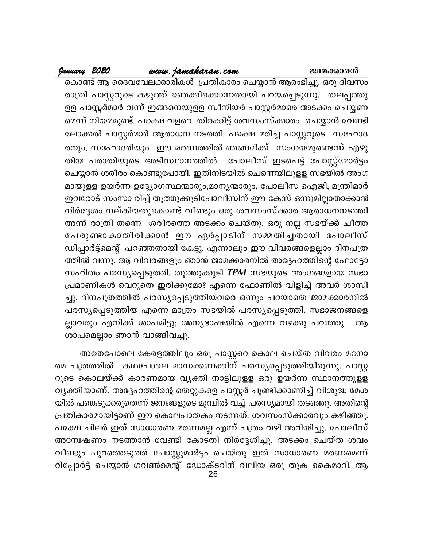#### www.jamakaran.com

January 2020

കൊണ്ട് ആ ദൈവവേലക്കാരികൾ പ്രതികാരം ചെയ്യാൻ ആരംഭിച്ചു. ഒരു ദിവസം രാത്രി പാസ്റ്ററുടെ കഴുത്ത് ഞെക്കിക്കൊന്നതായി പറയപ്പെടുന്നു. തലപ്പത്തു ളള പാസ്റ്റർമാർ വന്ന് ഇങ്ങനെയുളള സീനിയർ പാസ്റ്റർമാരെ അടക്കം ചെയ്യണ മെന്ന് നിയമമുണ്ട്. പക്ഷെ വളരെ തിരക്കിട്ട് ശവസംസ്ക്കാരം ചെയ്യാൻ വേണ്ടി ലോക്കൽ പാസ്റ്റർമാർ ആരാധന നടത്തി. പക്ഷെ മരിച്ച പാസ്റ്ററുടെ സഹോദ രനും, സഹോദരിയും ഈ മരണത്തിൽ ഞങ്ങൾക്ക് സംശയമുണ്ടെന്ന് എഴു തിയ പരാതിയുടെ അടിസ്ഥാനത്തിൽ പോലീസ് ഇടപെട്ട് പോസ്റ്റ്മോർട്ടം ചെയ്യാൻ ശരീരം കൊണ്ടുപോയി. ഇതിനിടയിൽ ചെന്നെയിലുളള സഭയിൽ അംഗ മായുളള ഉയർന്ന ഉദ്ദ്യോഗസ്ഥന്മാരും,മാനൃന്മാരും, പോലീസ ഐജി, മന്ത്രിമാർ ഇവരോട് സംസാ രിച്ച് തൂത്തുക്കുടിപോലീസിന് ഈ കേസ് ഒന്നുമില്ലാതാക്കാൻ നിർദ്ദേശം നല്കിയതുകൊണ്ട് വീണ്ടും ഒരു ശവസംസ്ക്കാര ആരാധനനടത്തി അന്ന് രാത്രി തന്നെ ശരീരത്തെ അടക്കം ചെയ്തു. ഒരു നല്ല സഭയ്ക്ക് ചീത്ത പേരുണ്ടാകാതിരിക്കാൻ ഈ ഏർപ്പാടിന് സമ്മതിച്ചതായി പോലീസ് ഡിപ്പാർട്ട്മെന്റ് പറഞ്ഞതായി കേട്ടു. എന്നാലും ഈ വിവരങ്ങളെല്ലാം ദിനപത്ര ത്തിൽ വന്നു. ആ വിവരങ്ങളും ഞാൻ ജാമക്കാരനിൽ അദ്ദേഹത്തിന്റെ ഫോട്ടോ സഹിതം പരസ്യപ്പെടുത്തി. തൂത്തുക്കുടി  $TPM$  സഭയുടെ അംഗങ്ങളായ സഭാ പ്രമാണികൾ വെറുതെ ഇരിക്കുമോ? എന്നെ ഫോണിൽ വിളിച്ച് അവർ ശാസി ച്ചു. ദിനപത്രത്തിൽ പരസ്യപ്പെടുത്തിയവരെ ഒന്നും പറയാതെ ജാമക്കാരനിൽ പരസ്യപ്പെടുത്തിയ എന്നെ മാത്രം സഭയിൽ പരസ്യപ്പെടുത്തി. സഭാജനങ്ങളെ ല്ലാവരും എനിക്ക് ശാപമിട്ടു; അന്യഭാഷയിൽ എന്നെ വഴക്കു പറഞ്ഞു. ആ ശാപമെല്ലാം ഞാൻ വാങ്ങിവച്ചു.

അതേപോലെ കേരളത്തിലും ഒരു പാസ്റ്ററെ കൊല ചെയ്ത വിവരം മനോ രമ പത്രത്തിൽ കഥപോലെ മാസക്കണക്കിന് പരസ്യപ്പെടുത്തിയിരുന്നു. പാസ്റ്റ റുടെ കൊലയ്ക്ക് കാരണമായ വ്യക്തി നാട്ടിലുളള ഒരു ഉയർന്ന സ്ഥാനത്തുളള വ്യക്തിയാണ്. അദ്ദേഹത്തിന്റെ തെറ്റുകളെ പാസ്റ്റർ ചൂണ്ടിക്കാണിച്ച് വിശുദ്ധ മേശ യിൽ പങ്കെടുക്കരുതെന്ന് ജനങ്ങളുടെ മുമ്പിൽ വച്ച് പരസ്യമായി തടഞ്ഞു. അതിന്റെ പ്രതികാരമായിട്ടാണ് ഈ കൊലപാതകം നടന്നത്. ശവസംസ്ക്കാരവും കഴിഞ്ഞു. പക്ഷേ ചിലർ ഇത് സാധാരണ മരണമല്ല എന്ന് പത്രം വഴി അറിയിച്ചു. പോലീസ് അന്വേഷണം നടത്താൻ വേണ്ടി കോടതി നിർദ്ദേശിച്ചു. അടക്കം ചെയ്ത ശവം വീണ്ടും പുറത്തെടുത്ത് പോസ്റ്റുമാർട്ടം ചെയ്തു ഇത് സാധാരണ മരണമെന്ന് റിപ്പോർട്ട് ചെയ്യാൻ ഗവൺമെന്റ് ഡോക്ടറിന് വലിയ ഒരു തുക കൈമാറി. ആ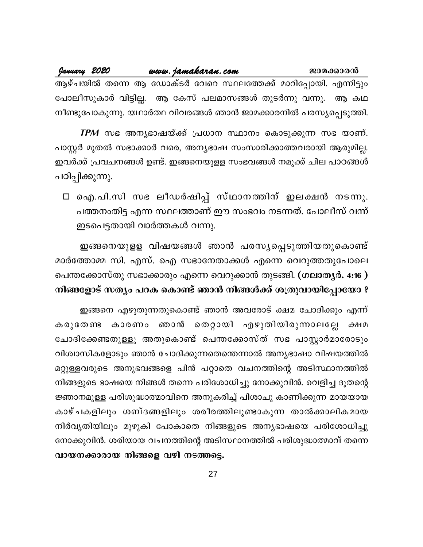January 2020 www.jamakaran.com ജാമക്കാരൻ ആഴ്ചയിൽ തന്നെ ആ ഡോക്ടർ വേറെ സ്ഥലത്തേക്ക് മാറിപ്പോയി. എന്നിട്ടും പോലീസുകാർ വിട്ടില്ല. ആ കേസ് പലമാസങ്ങൾ തുടർന്നു വന്നു. ആ കഥ നീണ്ടുപോകുന്നു. യഥാർത്ഥ വിവരങ്ങൾ ഞാൻ ജാമക്കാരനിൽ പരസ്യപ്പെടുത്തി.

*TPM* സഭ അനൃഭാഷയ്ക്ക് പ്രധാന സ്ഥാനം കൊടുക്കുന്ന സഭ യാണ്. പാസ്റ്റർ മുതൽ സഭാക്കാർ വരെ, അന്യഭാഷ സംസാരിക്കാത്തവരായി ആരുമില്ല. ഇവർക്ക് പ്രവചനങ്ങൾ ഉണ്ട്. ഇങ്ങനെയുളള സംഭവങ്ങൾ നമുക്ക് ചില പാഠങ്ങൾ പഠിപ്പിക്കുന്നു.

□ ഐ.പി.സി സഭ ലീഡർഷിപ്പ് സ്ഥാനത്തിന് ഇലക്ഷൻ നടന്നു. പത്തനംതിട്ട എന്ന സ്ഥലത്താണ് ഈ സംഭവം നടന്നത്. പോലീസ് വന്ന് ഇടപെട്ടതായി വാർത്തകൾ വന്നു.

ഇങ്ങനെയുളള വിഷയങ്ങൾ ഞാൻ പരസൃപ്പെടുത്തിയതുകൊണ്ട് മാർത്തോമ്മ സി. എസ്. ഐ സഭാനേതാക്കൾ എന്നെ വെറുത്തതുപോലെ പെന്തക്കോസ്തു സഭാക്കാരും എന്നെ വെറുക്കാൻ തുടങ്ങി. (ഗലാതൃർ. 4:16 ) നിങ്ങളോട് സത്യം പറക കൊണ്ട് ഞാൻ നിങ്ങൾക്ക് ശത്രുവായിപ്പോയോ ?

ഇങ്ങനെ എഴുതുന്നതുകൊണ്ട് ഞാൻ അവരോട് ക്ഷമ ചോദിക്കും എന്ന് ഞാൻ തെറ്റായി എഴുതിയിരുന്നാലല്ലേ കാരണം കരുതേണ്ട ക്ഷമ ചോദിക്കേണ്ടതുള്ളൂ അതുകൊണ്ട് പെന്തക്കോസ്ത് സഭ പാസ്റ്റാർമാരോടും വിശ്വാസികളോടും ഞാൻ ചോദിക്കുന്നതെന്തെന്നാൽ അന്യഭാഷാ വിഷയത്തിൽ മറ്റുള്ളവരുടെ അനുഭവങ്ങളെ പിൻ പറ്റാതെ വചനത്തിന്റെ അടിസ്ഥാനത്തിൽ നിങ്ങളുടെ ഭാഷയെ നിങ്ങൾ തന്നെ പരിശോധിച്ചു നോക്കുവിൻ. വെളിച്ച ദൂതന്റെ ജ്ഞാനമുള്ള പരിശുദ്ധാത്മാവിനെ അനുകരിച്ച് പിശാചു കാണിക്കുന്ന മായയായ കാഴ്ചകളിലും ശബ്ദങ്ങളിലും ശരീരത്തിലുണ്ടാകുന്ന താൽക്കാലികമായ നിർവൃതിയിലും മുഴുകി പോകാതെ നിങ്ങളുടെ അന്യഭാഷയെ പരിശോധിച്ചു നോക്കുവിൻ. ശരിയായ വചനത്തിന്റെ അടിസ്ഥാനത്തിൽ പരിശുദ്ധാത്മാവ് തന്നെ വായനക്കാരായ നിങ്ങളെ വഴി നടത്തട്ടെ.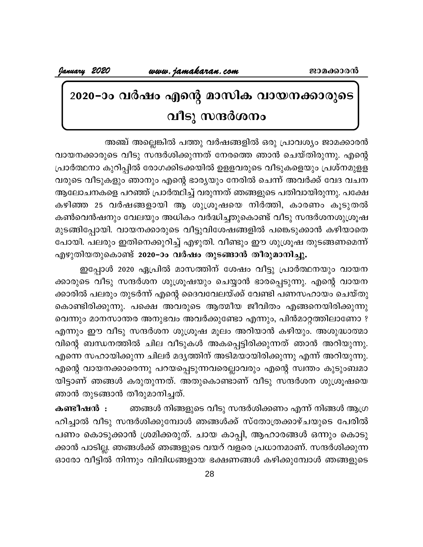# 2020-ാം വർഷം എന്റെ മാസിക വായനക്കാരുടെ വീടു സന്ദർശനം

അഞ്ച് അല്ലെങ്കിൽ പത്തു വർഷങ്ങളിൽ ഒരു പ്രാവശ്യം ജാമക്കാരൻ വായനക്കാരുടെ വീടു സന്ദർശിക്കുന്നത് നേരത്തെ ഞാൻ ചെയ്തിരുന്നു. എന്റെ പ്രാർത്ഥനാ കുറിപ്പിൽ രോഗക്കിടക്കയിൽ ഉളളവരുടെ വീടുകളെയും പ്രശ്നമുളള വരുടെ വീടുകളും ഞാനും എന്റെ ഭാര്യയും നേരിൽ ചെന്ന് അവർക്ക് വേദ വചന ആലോചനകളെ പറഞ്ഞ് പ്രാർത്ഥിച്ച് വരുന്നത് ഞങ്ങളുടെ പതിവായിരുന്നു. പക്ഷേ കഴിഞ്ഞ 25 വർഷങ്ങളായി ആ ശുശ്രൂഷയെ നിർത്തി, കാരണം കൂടുതൽ കൺവെൻഷനും വേലയും അധികം വർദ്ധിച്ചതുകൊണ്ട് വീടു സന്ദർശനശുശ്രൂഷ മുടങ്ങിപ്പോയി. വായനക്കാരുടെ വീട്ടുവിശേഷങ്ങളിൽ പങ്കെടുക്കാൻ കഴിയാതെ പോയി. പലരും ഇതിനെക്കുറിച്ച് എഴുതി. വീണ്ടും ഈ ശുശ്രൂഷ തുടങ്ങണമെന്ന് എഴുതിയതുകൊണ്ട് 2020–ാം വർഷം തുടങ്ങാൻ തീരുമാനിച്ചു.

ഇപ്പോൾ 2020 ഏപ്രിൽ മാസത്തിന് ശേഷം വീട്ടു പ്രാർത്ഥനയും വായന ക്കാരുടെ വീടു സന്ദർശന ശുശ്രൂഷയും ചെയ്യാൻ ഭാരപ്പെടുന്നു. എന്റെ വായന ക്കാരിൽ പലരും തുടർന്ന് എന്റെ ദൈവവേലയ്ക്ക് വേണ്ടി പണസഹായം ചെയ്തു കൊണ്ടിരിക്കുന്നു. പക്ഷെ അവരുടെ ആത്മീയ ജീവിതം എങ്ങനെയിരിക്കുന്നു വെന്നും മാനസാന്തര അനുഭവം അവർക്കുണ്ടോ എന്നും, പിൻമാറ്റത്തിലാണോ ? എന്നും ഈ വീടു സന്ദർശന ശുശ്രൂഷ മൂലം അറിയാൻ കഴിയും. അശുദ്ധാത്മാ വിന്റെ ബന്ധനത്തിൽ ചില വീടുകൾ അകപ്പെട്ടിരിക്കുന്നത് ഞാൻ അറിയുന്നു. എന്നെ സഹായിക്കുന്ന ചിലർ മദൃത്തിന് അടിമയായിരിക്കുന്നു എന്ന് അറിയുന്നു. എന്റെ വായനക്കാരെന്നു പറയപ്പെടുന്നവരെല്ലാവരും എന്റെ സ്വന്തം കുടുംബമാ യിട്ടാണ് ഞങ്ങൾ കരുതുന്നത്. അതുകൊണ്ടാണ് വീടു സന്ദർശന ശുശ്രൂഷയെ ഞാൻ തുടങ്ങാൻ തീരുമാനിച്ചത്.

ഞങ്ങൾ നിങ്ങളുടെ വീടു സന്ദർശിക്കണം എന്ന് നിങ്ങൾ ആഗ്ര കണ്ടീഷൻ : ഹിച്ചാൽ വീടു സന്ദർശിക്കുമ്പോൾ ഞങ്ങൾക്ക് സ്തോത്രക്കാഴ്ചയുടെ പേരിൽ പണം കൊടുക്കാൻ ശ്രമിക്കരുത്. ചായ കാപ്പി, ആഹാരങ്ങൾ ഒന്നും കൊടു ക്കാൻ പാടില്ല. ഞങ്ങൾക്ക് ഞങ്ങളുടെ വയറ് വളരെ പ്രധാനമാണ്. സന്ദർശിക്കുന്ന ഓരോ വീട്ടിൽ നിന്നും വിവിധങ്ങളായ ഭക്ഷണങ്ങൾ കഴിക്കുമ്പോൾ ഞങ്ങളുടെ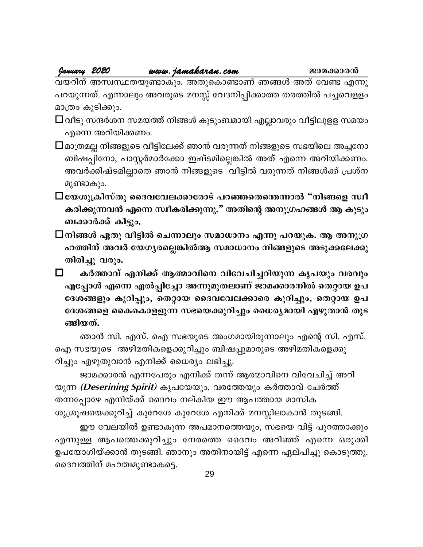#### January 2020 www.jamakaran.com

ജാമക്കാരൻ

വയറിന് അസ്വസ്ഥതയുണ്ടാകും. അതുകൊണ്ടാണ് ഞങ്ങൾ അത് വേണ്ട എന്നു പറയുന്നത്. എന്നാലും അവരുടെ മനസ്സ് വേദനിപ്പിക്കാത്ത തരത്തിൽ പച്ചവെളളം മാത്രം കുടിക്കും.

- $\Box$ വീടു സന്ദർശന സമയത്ത് നിങ്ങൾ കുടുംബമായി എല്ലാവരും വീട്ടിലുളള സമയം എന്നെ അറിയിക്കണം.
- $\Box$ മാത്രമല്ല നിങ്ങളുടെ വീട്ടിലേക്ക് ഞാൻ വരുന്നത് നിങ്ങളുടെ സഭയിലെ അച്ചനോ ബിഷപ്പിനോ, പാസ്റ്റർമാർക്കോ ഇഷ്ടമില്ലെങ്കിൽ അത് എന്നെ അറിയിക്കണം. അവർക്കിഷ്ടമില്ലാതെ ഞാൻ നിങ്ങളുടെ വീട്ടിൽ വരുന്നത് നിങ്ങൾക്ക് പ്രശ്ന മുണ്ടാകും.
- ⊟യേശുക്രിസ്തു ദൈവവേലക്കാരോട് പറഞ്ഞതെെന്താൽ "നിങ്ങളെ സ്വീ കരിക്കുന്നവൻ എന്നെ സ്ഥീകരിക്കുന്നു." അതിന്റെ അനുഗ്രഹങ്ങൾ ആ കുടും ബക്കാർക്ക് കിട്ടും.
- $\square$ നിങ്ങൾ ഏതു വീട്ടിൽ ചെന്നാലും സമാധാനം എന്നു പറയുക. ആ അനുഗ്ര ഹത്തിന് അവർ യേഗൃരല്ലെങ്കിൽആ സമാധാനം നിങ്ങളുടെ അടുക്കലേക്കു തിരിച്ചു വരും.

 $\Box$ കർത്താവ് എനിക്ക് ആത്മാവിനെ വിവേചിച്ചറിയുന്ന കൃപയും വരവും എപ്പോൾ എന്നെ ഏൽപ്പിച്ചോ അന്നുമുതലാണ് ജാമക്കാരനിൽ തെറ്റായ ഉപ ദേശങ്ങളും കുറിപ്പും, തെറ്റായ ദൈവവേലക്കാരെ കുറിച്ചും, തെറ്റായ ഉപ ദേശങ്ങളെ കൈകൊളളുന്ന സഭയെക്കുറിച്ചും ധൈര്യമായി എഴുതാൻ തുട ങ്ങിയത്.

ഞാൻ സി. എസ്. ഐ സഭയുടെ അംഗമായിരുന്നാലും എന്റെ സി. എസ്. ഐ സഭയുടെ അഴിമതികളെക്കുറിച്ചും ബിഷപ്പുമാരുടെ അഴിമതികളെക്കു റിച്ചും എഴുതുവാൻ എനിക്ക് ധൈര്യം ലഭിച്ചു.

ജാമക്കാരൻ എന്നപേരും എനിക്ക് തന്ന് ആത്മാവിനെ വിവേചിച്ച് അറി യുന്ന *(Deserining Spirit)* കൃപയേയും, വരത്തേയും കർത്താവ് ചേർത്ത് തന്നപ്പോഴേ എനിയ്ക്ക് ദൈവം നല്കിയ ഈ ആപത്തായ മാസിക ശുശ്രൂഷയെക്കുറിച്ച് കുറേശേ കുറേശേ എനിക്ക് മനസ്സിലാകാൻ തുടങ്ങി.

ഈ വേലയിൽ ഉണ്ടാകുന്ന അപമാനത്തെയും, സഭയെ വിട്ട് പുറത്താക്കും എന്നുള്ള ആപത്തെക്കുറിച്ചും നേരത്തെ ദൈവം അറിഞ്ഞ് എന്നെ ഒരുക്കി ഉപയോഗിയ്ക്കാൻ തുടങ്ങി. ഞാനും അതിനായിട്ട് എന്നെ ഏല്പിച്ചു കൊടുത്തു. ദൈവത്തിന് മഹത്വമുണ്ടാകട്ടെ.